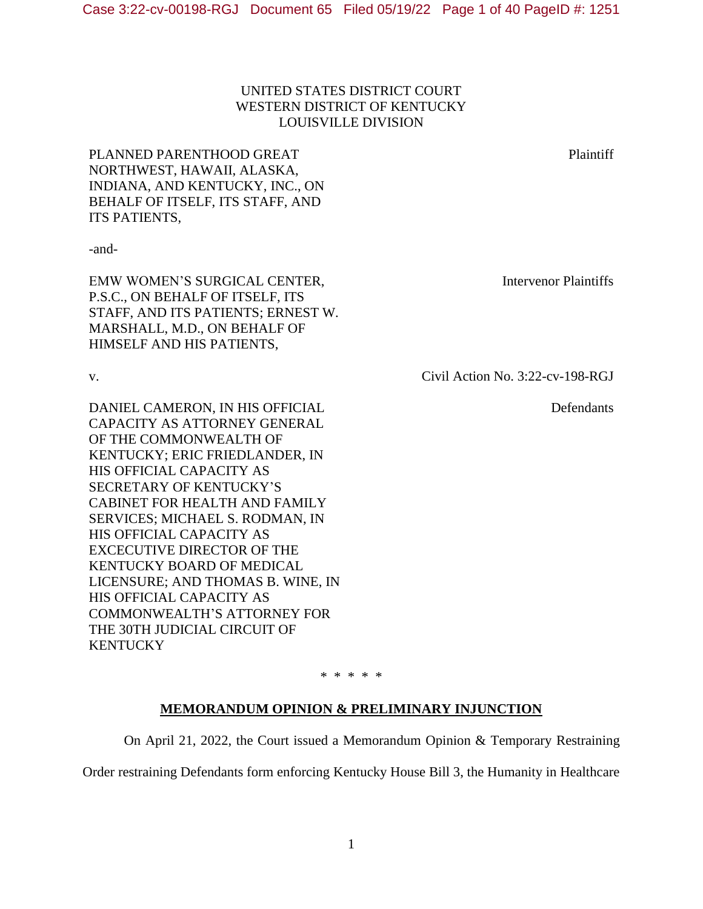# UNITED STATES DISTRICT COURT WESTERN DISTRICT OF KENTUCKY LOUISVILLE DIVISION

PLANNED PARENTHOOD GREAT NORTHWEST, HAWAII, ALASKA, INDIANA, AND KENTUCKY, INC., ON BEHALF OF ITSELF, ITS STAFF, AND ITS PATIENTS,

-and-

EMW WOMEN'S SURGICAL CENTER, P.S.C., ON BEHALF OF ITSELF, ITS STAFF, AND ITS PATIENTS; ERNEST W. MARSHALL, M.D., ON BEHALF OF HIMSELF AND HIS PATIENTS,

DANIEL CAMERON, IN HIS OFFICIAL CAPACITY AS ATTORNEY GENERAL OF THE COMMONWEALTH OF KENTUCKY; ERIC FRIEDLANDER, IN HIS OFFICIAL CAPACITY AS SECRETARY OF KENTUCKY'S CABINET FOR HEALTH AND FAMILY SERVICES; MICHAEL S. RODMAN, IN HIS OFFICIAL CAPACITY AS EXCECUTIVE DIRECTOR OF THE KENTUCKY BOARD OF MEDICAL LICENSURE; AND THOMAS B. WINE, IN HIS OFFICIAL CAPACITY AS COMMONWEALTH'S ATTORNEY FOR THE 30TH JUDICIAL CIRCUIT OF **KENTUCKY** 

Intervenor Plaintiffs

v. Civil Action No. 3:22-cv-198-RGJ

Defendants

\* \* \* \* \*

### **MEMORANDUM OPINION & PRELIMINARY INJUNCTION**

On April 21, 2022, the Court issued a Memorandum Opinion & Temporary Restraining

Order restraining Defendants form enforcing Kentucky House Bill 3, the Humanity in Healthcare

Plaintiff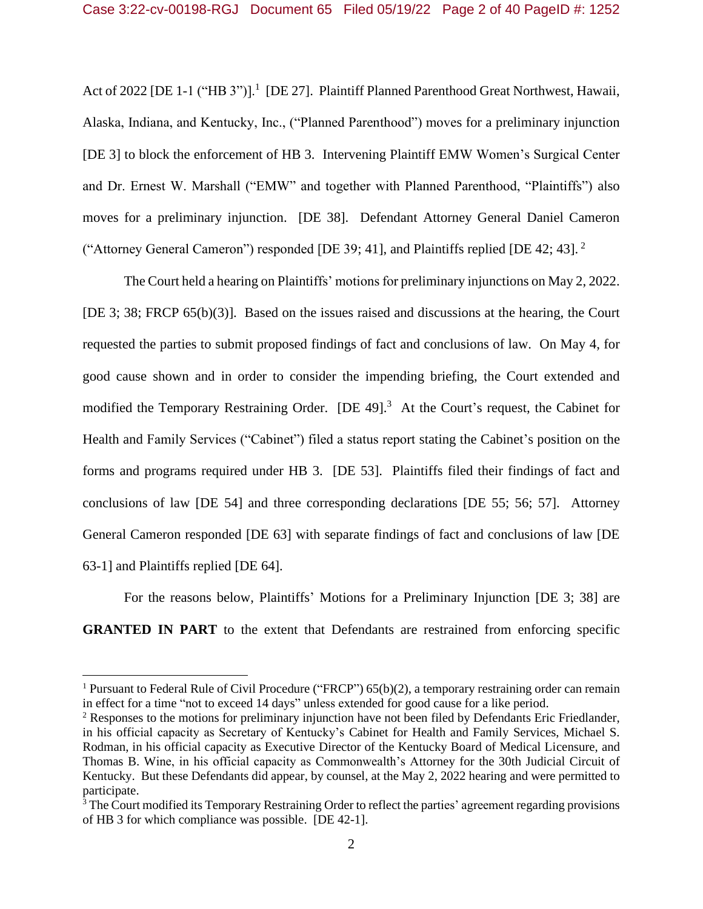Act of 2022 [DE 1-1 ("HB 3")].<sup>1</sup> [DE 27]. Plaintiff Planned Parenthood Great Northwest, Hawaii, Alaska, Indiana, and Kentucky, Inc., ("Planned Parenthood") moves for a preliminary injunction [DE 3] to block the enforcement of HB 3. Intervening Plaintiff EMW Women's Surgical Center and Dr. Ernest W. Marshall ("EMW" and together with Planned Parenthood, "Plaintiffs") also moves for a preliminary injunction. [DE 38]. Defendant Attorney General Daniel Cameron ("Attorney General Cameron") responded [DE 39; 41], and Plaintiffs replied [DE 42; 43]. <sup>2</sup>

The Court held a hearing on Plaintiffs' motions for preliminary injunctions on May 2, 2022. [DE 3; 38; FRCP 65(b)(3)]. Based on the issues raised and discussions at the hearing, the Court requested the parties to submit proposed findings of fact and conclusions of law. On May 4, for good cause shown and in order to consider the impending briefing, the Court extended and modified the Temporary Restraining Order. [DE 49].<sup>3</sup> At the Court's request, the Cabinet for Health and Family Services ("Cabinet") filed a status report stating the Cabinet's position on the forms and programs required under HB 3. [DE 53]. Plaintiffs filed their findings of fact and conclusions of law [DE 54] and three corresponding declarations [DE 55; 56; 57]. Attorney General Cameron responded [DE 63] with separate findings of fact and conclusions of law [DE 63-1] and Plaintiffs replied [DE 64].

For the reasons below, Plaintiffs' Motions for a Preliminary Injunction [DE 3; 38] are **GRANTED** IN PART to the extent that Defendants are restrained from enforcing specific

<sup>&</sup>lt;sup>1</sup> Pursuant to Federal Rule of Civil Procedure ("FRCP")  $65(b)(2)$ , a temporary restraining order can remain in effect for a time "not to exceed 14 days" unless extended for good cause for a like period.

<sup>&</sup>lt;sup>2</sup> Responses to the motions for preliminary injunction have not been filed by Defendants Eric Friedlander, in his official capacity as Secretary of Kentucky's Cabinet for Health and Family Services, Michael S. Rodman, in his official capacity as Executive Director of the Kentucky Board of Medical Licensure, and Thomas B. Wine, in his official capacity as Commonwealth's Attorney for the 30th Judicial Circuit of Kentucky. But these Defendants did appear, by counsel, at the May 2, 2022 hearing and were permitted to participate.

<sup>&</sup>lt;sup>3</sup> The Court modified its Temporary Restraining Order to reflect the parties' agreement regarding provisions of HB 3 for which compliance was possible. [DE 42-1].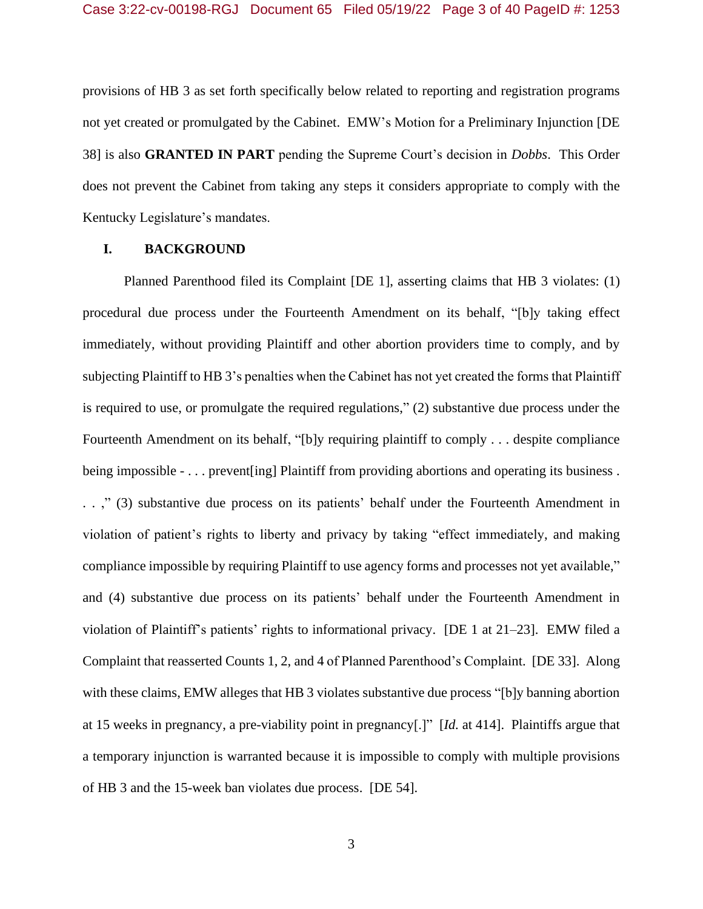provisions of HB 3 as set forth specifically below related to reporting and registration programs not yet created or promulgated by the Cabinet. EMW's Motion for a Preliminary Injunction [DE 38] is also **GRANTED IN PART** pending the Supreme Court's decision in *Dobbs*. This Order does not prevent the Cabinet from taking any steps it considers appropriate to comply with the Kentucky Legislature's mandates.

## **I. BACKGROUND**

Planned Parenthood filed its Complaint [DE 1], asserting claims that HB 3 violates: (1) procedural due process under the Fourteenth Amendment on its behalf, "[b]y taking effect immediately, without providing Plaintiff and other abortion providers time to comply, and by subjecting Plaintiff to HB 3's penalties when the Cabinet has not yet created the forms that Plaintiff is required to use, or promulgate the required regulations," (2) substantive due process under the Fourteenth Amendment on its behalf, "[b]y requiring plaintiff to comply . . . despite compliance being impossible - . . . prevent[ing] Plaintiff from providing abortions and operating its business . . . ," (3) substantive due process on its patients' behalf under the Fourteenth Amendment in violation of patient's rights to liberty and privacy by taking "effect immediately, and making compliance impossible by requiring Plaintiff to use agency forms and processes not yet available," and (4) substantive due process on its patients' behalf under the Fourteenth Amendment in violation of Plaintiff's patients' rights to informational privacy. [DE 1 at 21–23]. EMW filed a Complaint that reasserted Counts 1, 2, and 4 of Planned Parenthood's Complaint. [DE 33]. Along with these claims, EMW alleges that HB 3 violates substantive due process "[b]y banning abortion at 15 weeks in pregnancy, a pre-viability point in pregnancy[.]" [*Id.* at 414]. Plaintiffs argue that a temporary injunction is warranted because it is impossible to comply with multiple provisions of HB 3 and the 15-week ban violates due process. [DE 54].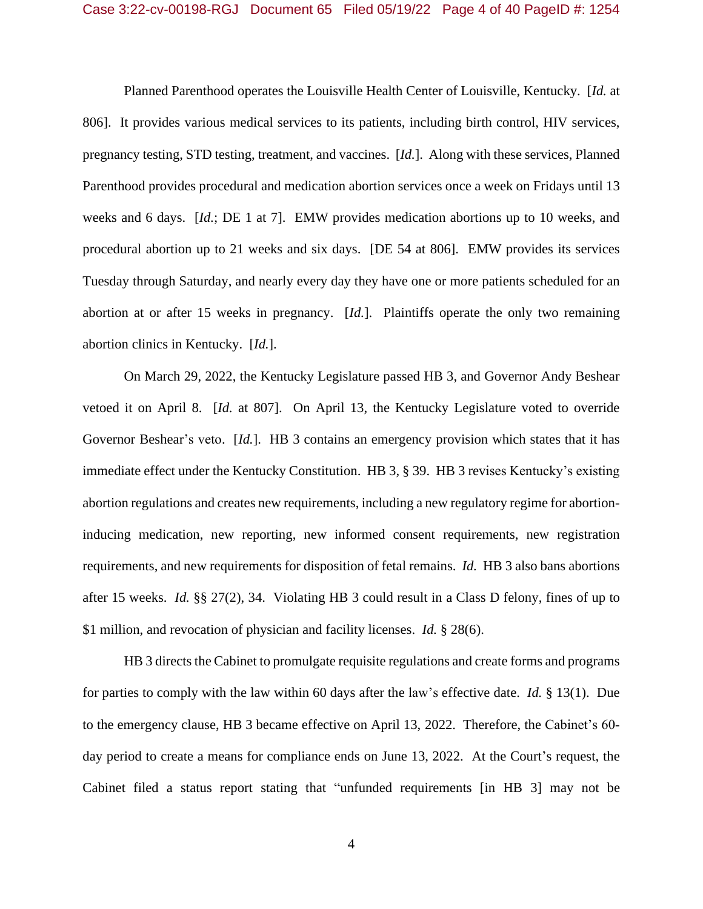Planned Parenthood operates the Louisville Health Center of Louisville, Kentucky. [*Id.* at 806]. It provides various medical services to its patients, including birth control, HIV services, pregnancy testing, STD testing, treatment, and vaccines. [*Id.*]. Along with these services, Planned Parenthood provides procedural and medication abortion services once a week on Fridays until 13 weeks and 6 days. [*Id.*; DE 1 at 7]. EMW provides medication abortions up to 10 weeks, and procedural abortion up to 21 weeks and six days. [DE 54 at 806]. EMW provides its services Tuesday through Saturday, and nearly every day they have one or more patients scheduled for an abortion at or after 15 weeks in pregnancy. [*Id.*]. Plaintiffs operate the only two remaining abortion clinics in Kentucky. [*Id.*].

On March 29, 2022, the Kentucky Legislature passed HB 3, and Governor Andy Beshear vetoed it on April 8. [*Id.* at 807]. On April 13, the Kentucky Legislature voted to override Governor Beshear's veto. [*Id.*]. HB 3 contains an emergency provision which states that it has immediate effect under the Kentucky Constitution. HB 3, § 39. HB 3 revises Kentucky's existing abortion regulations and creates new requirements, including a new regulatory regime for abortioninducing medication, new reporting, new informed consent requirements, new registration requirements, and new requirements for disposition of fetal remains. *Id.* HB 3 also bans abortions after 15 weeks. *Id.* §§ 27(2), 34. Violating HB 3 could result in a Class D felony, fines of up to \$1 million, and revocation of physician and facility licenses. *Id.* § 28(6).

HB 3 directs the Cabinet to promulgate requisite regulations and create forms and programs for parties to comply with the law within 60 days after the law's effective date. *Id.* § 13(1). Due to the emergency clause, HB 3 became effective on April 13, 2022. Therefore, the Cabinet's 60 day period to create a means for compliance ends on June 13, 2022. At the Court's request, the Cabinet filed a status report stating that "unfunded requirements [in HB 3] may not be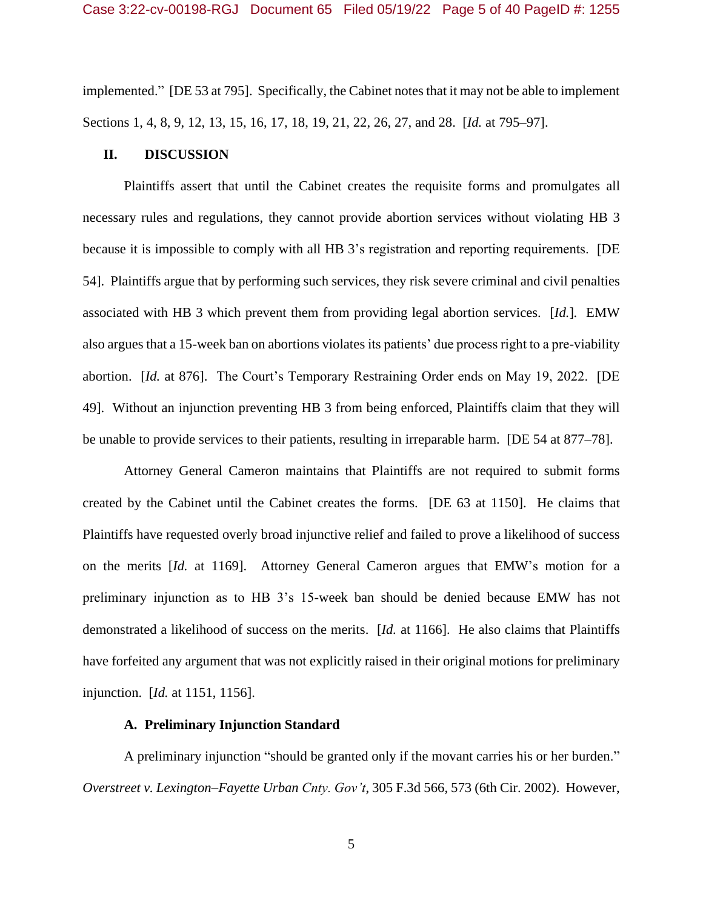implemented." [DE 53 at 795]. Specifically, the Cabinet notes that it may not be able to implement Sections 1, 4, 8, 9, 12, 13, 15, 16, 17, 18, 19, 21, 22, 26, 27, and 28. [*Id.* at 795–97].

#### **II. DISCUSSION**

Plaintiffs assert that until the Cabinet creates the requisite forms and promulgates all necessary rules and regulations, they cannot provide abortion services without violating HB 3 because it is impossible to comply with all HB 3's registration and reporting requirements. [DE 54]. Plaintiffs argue that by performing such services, they risk severe criminal and civil penalties associated with HB 3 which prevent them from providing legal abortion services. [*Id.*]*.* EMW also argues that a 15-week ban on abortions violates its patients' due process right to a pre-viability abortion. [*Id.* at 876]. The Court's Temporary Restraining Order ends on May 19, 2022. [DE 49]. Without an injunction preventing HB 3 from being enforced, Plaintiffs claim that they will be unable to provide services to their patients, resulting in irreparable harm. [DE 54 at 877–78].

Attorney General Cameron maintains that Plaintiffs are not required to submit forms created by the Cabinet until the Cabinet creates the forms. [DE 63 at 1150]. He claims that Plaintiffs have requested overly broad injunctive relief and failed to prove a likelihood of success on the merits [*Id.* at 1169]. Attorney General Cameron argues that EMW's motion for a preliminary injunction as to HB 3's 15-week ban should be denied because EMW has not demonstrated a likelihood of success on the merits. [*Id.* at 1166]. He also claims that Plaintiffs have forfeited any argument that was not explicitly raised in their original motions for preliminary injunction. [*Id.* at 1151, 1156].

### **A. Preliminary Injunction Standard**

A preliminary injunction "should be granted only if the movant carries his or her burden." *Overstreet v. Lexington–Fayette Urban Cnty. Gov't*, 305 F.3d 566, 573 (6th Cir. 2002). However,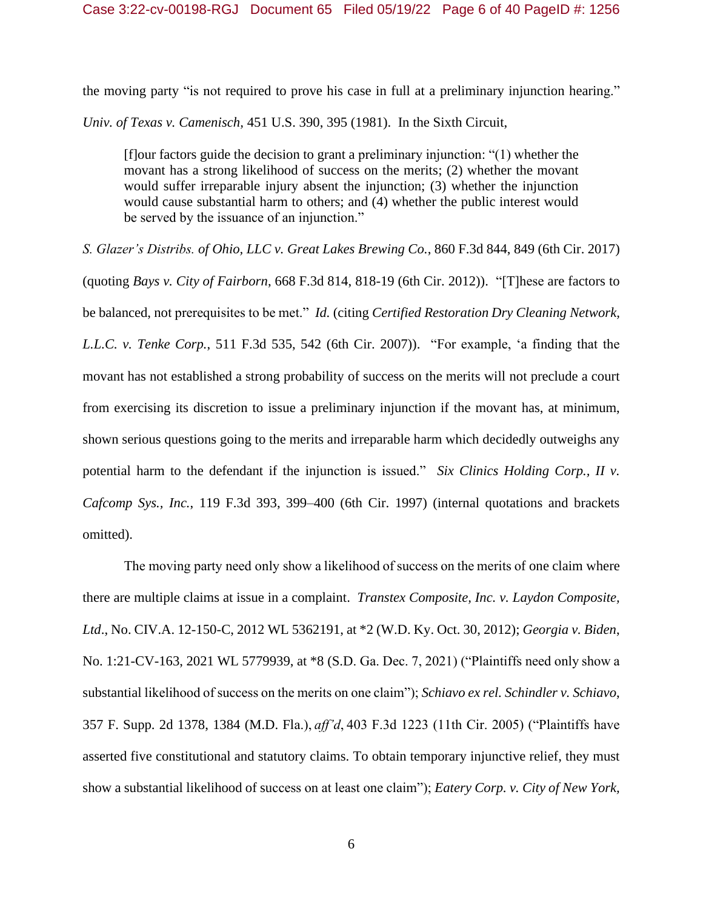the moving party "is not required to prove his case in full at a preliminary injunction hearing." *Univ. of Texas v. Camenisch,* 451 U.S. 390, 395 (1981). In the Sixth Circuit,

[f]our factors guide the decision to grant a preliminary injunction: "(1) whether the movant has a strong likelihood of success on the merits; (2) whether the movant would suffer irreparable injury absent the injunction; (3) whether the injunction would cause substantial harm to others; and (4) whether the public interest would be served by the issuance of an injunction."

*S. Glazer's Distribs. of Ohio, LLC v. Great Lakes Brewing Co.*, 860 F.3d 844, 849 (6th Cir. 2017) (quoting *Bays v. City of Fairborn*, 668 F.3d 814, 818-19 (6th Cir. 2012)). "[T]hese are factors to be balanced, not prerequisites to be met." *Id.* (citing *Certified Restoration Dry Cleaning Network, L.L.C. v. Tenke Corp.*, 511 F.3d 535, 542 (6th Cir. 2007)). "For example, 'a finding that the movant has not established a strong probability of success on the merits will not preclude a court from exercising its discretion to issue a preliminary injunction if the movant has, at minimum, shown serious questions going to the merits and irreparable harm which decidedly outweighs any potential harm to the defendant if the injunction is issued." *Six Clinics Holding Corp., II v. Cafcomp Sys., Inc.*, 119 F.3d 393, 399–400 (6th Cir. 1997) (internal quotations and brackets omitted).

The moving party need only show a likelihood of success on the merits of one claim where there are multiple claims at issue in a complaint. *Transtex Composite, Inc. v. Laydon Composite, Ltd*., No. CIV.A. 12-150-C, 2012 WL 5362191, at \*2 (W.D. Ky. Oct. 30, 2012); *Georgia v. Biden*, No. 1:21-CV-163, 2021 WL 5779939, at \*8 (S.D. Ga. Dec. 7, 2021) ("Plaintiffs need only show a substantial likelihood of success on the merits on one claim"); *Schiavo ex rel. Schindler v. Schiavo*, 357 F. Supp. 2d 1378, 1384 (M.D. Fla.), *aff'd*, 403 F.3d 1223 (11th Cir. 2005) ("Plaintiffs have asserted five constitutional and statutory claims. To obtain temporary injunctive relief, they must show a substantial likelihood of success on at least one claim"); *Eatery Corp. v. City of New York,*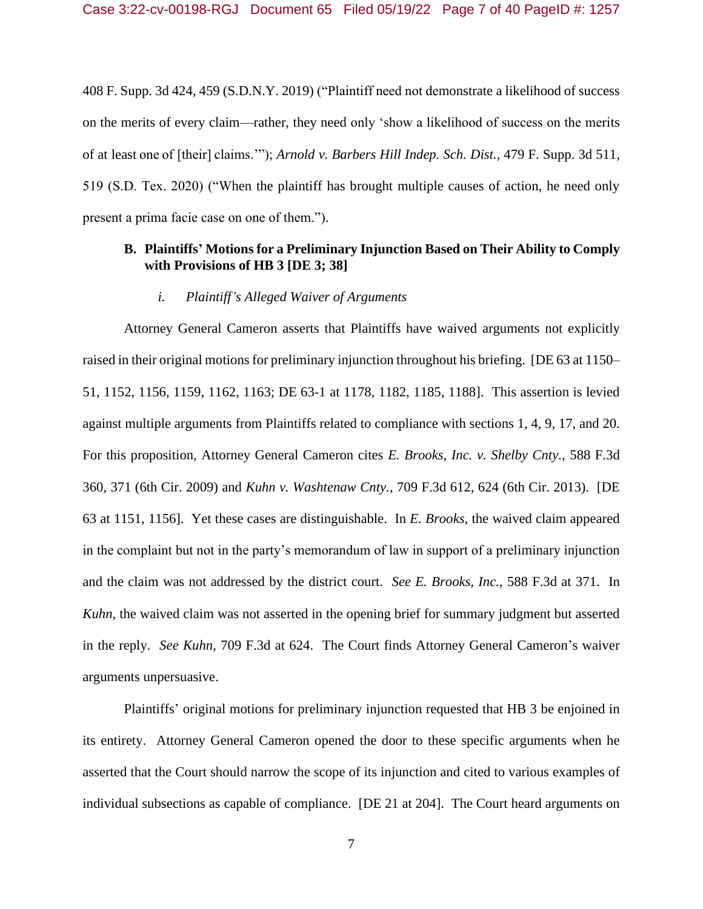408 F. Supp. 3d 424, 459 (S.D.N.Y. 2019) ("Plaintiff need not demonstrate a likelihood of success on the merits of every claim—rather, they need only 'show a likelihood of success on the merits of at least one of [their] claims.'"); *Arnold v. Barbers Hill Indep. Sch. Dist.,* 479 F. Supp. 3d 511, 519 (S.D. Tex. 2020) ("When the plaintiff has brought multiple causes of action, he need only present a prima facie case on one of them.").

# **B. Plaintiffs' Motions for a Preliminary Injunction Based on Their Ability to Comply with Provisions of HB 3 [DE 3; 38]**

## *i. Plaintiff's Alleged Waiver of Arguments*

Attorney General Cameron asserts that Plaintiffs have waived arguments not explicitly raised in their original motions for preliminary injunction throughout his briefing. [DE 63 at 1150– 51, 1152, 1156, 1159, 1162, 1163; DE 63-1 at 1178, 1182, 1185, 1188]. This assertion is levied against multiple arguments from Plaintiffs related to compliance with sections 1, 4, 9, 17, and 20. For this proposition, Attorney General Cameron cites *E. Brooks, Inc. v. Shelby Cnty.*, 588 F.3d 360, 371 (6th Cir. 2009) and *Kuhn v. Washtenaw Cnty.*, 709 F.3d 612, 624 (6th Cir. 2013). [DE 63 at 1151, 1156]. Yet these cases are distinguishable. In *E. Brooks*, the waived claim appeared in the complaint but not in the party's memorandum of law in support of a preliminary injunction and the claim was not addressed by the district court. *See E. Brooks, Inc.*, 588 F.3d at 371. In *Kuhn*, the waived claim was not asserted in the opening brief for summary judgment but asserted in the reply. *See Kuhn*, 709 F.3d at 624. The Court finds Attorney General Cameron's waiver arguments unpersuasive.

Plaintiffs' original motions for preliminary injunction requested that HB 3 be enjoined in its entirety. Attorney General Cameron opened the door to these specific arguments when he asserted that the Court should narrow the scope of its injunction and cited to various examples of individual subsections as capable of compliance. [DE 21 at 204]. The Court heard arguments on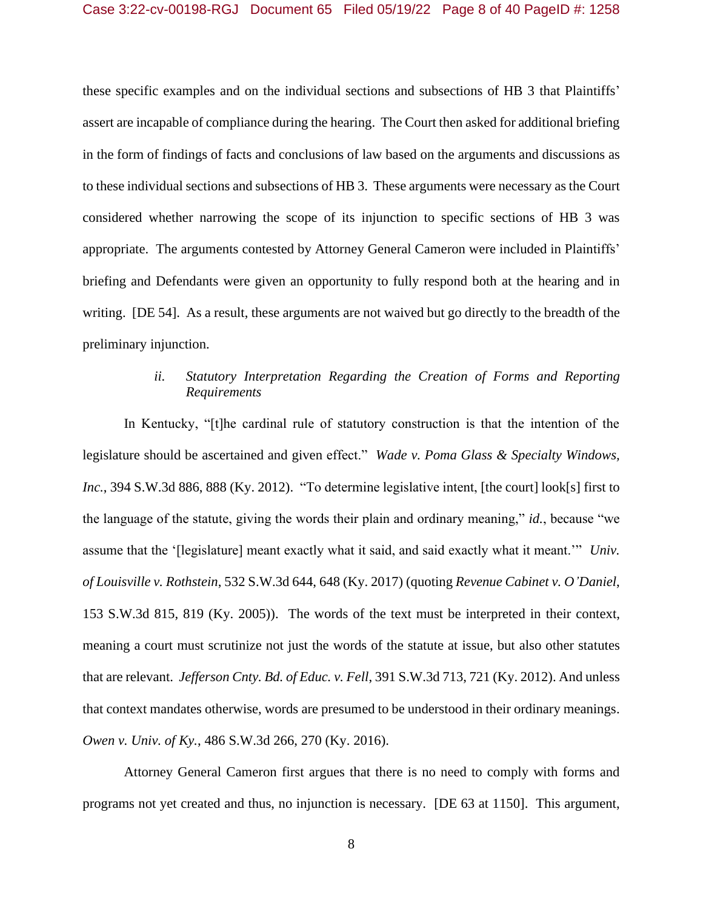these specific examples and on the individual sections and subsections of HB 3 that Plaintiffs' assert are incapable of compliance during the hearing. The Court then asked for additional briefing in the form of findings of facts and conclusions of law based on the arguments and discussions as to these individual sections and subsections of HB 3. These arguments were necessary as the Court considered whether narrowing the scope of its injunction to specific sections of HB 3 was appropriate. The arguments contested by Attorney General Cameron were included in Plaintiffs' briefing and Defendants were given an opportunity to fully respond both at the hearing and in writing. [DE 54]. As a result, these arguments are not waived but go directly to the breadth of the preliminary injunction.

# *ii. Statutory Interpretation Regarding the Creation of Forms and Reporting Requirements*

In Kentucky, "[t]he cardinal rule of statutory construction is that the intention of the legislature should be ascertained and given effect." *Wade v. Poma Glass & Specialty Windows, Inc.*, 394 S.W.3d 886, 888 (Ky. 2012). "To determine legislative intent, [the court] look[s] first to the language of the statute, giving the words their plain and ordinary meaning," *id.*, because "we assume that the '[legislature] meant exactly what it said, and said exactly what it meant.'" *Univ. of Louisville v. Rothstein*, 532 S.W.3d 644, 648 (Ky. 2017) (quoting *Revenue Cabinet v. O'Daniel*, 153 S.W.3d 815, 819 (Ky. 2005)). The words of the text must be interpreted in their context, meaning a court must scrutinize not just the words of the statute at issue, but also other statutes that are relevant. *Jefferson Cnty. Bd. of Educ. v. Fell*, 391 S.W.3d 713, 721 (Ky. 2012). And unless that context mandates otherwise, words are presumed to be understood in their ordinary meanings. *Owen v. Univ. of Ky.*, 486 S.W.3d 266, 270 (Ky. 2016).

Attorney General Cameron first argues that there is no need to comply with forms and programs not yet created and thus, no injunction is necessary. [DE 63 at 1150]. This argument,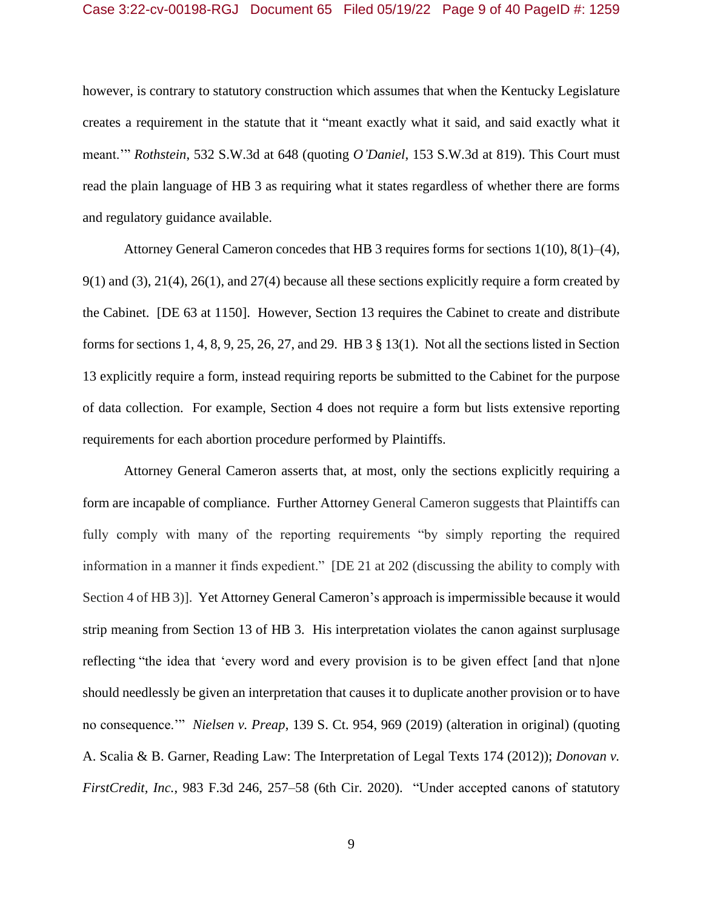however, is contrary to statutory construction which assumes that when the Kentucky Legislature creates a requirement in the statute that it "meant exactly what it said, and said exactly what it meant.'" *Rothstein*, 532 S.W.3d at 648 (quoting *O'Daniel*, 153 S.W.3d at 819). This Court must read the plain language of HB 3 as requiring what it states regardless of whether there are forms and regulatory guidance available.

Attorney General Cameron concedes that HB 3 requires forms for sections 1(10), 8(1)–(4), 9(1) and (3), 21(4), 26(1), and 27(4) because all these sections explicitly require a form created by the Cabinet. [DE 63 at 1150]. However, Section 13 requires the Cabinet to create and distribute forms for sections 1, 4, 8, 9, 25, 26, 27, and 29. HB 3 § 13(1). Not all the sections listed in Section 13 explicitly require a form, instead requiring reports be submitted to the Cabinet for the purpose of data collection. For example, Section 4 does not require a form but lists extensive reporting requirements for each abortion procedure performed by Plaintiffs.

Attorney General Cameron asserts that, at most, only the sections explicitly requiring a form are incapable of compliance. Further Attorney General Cameron suggests that Plaintiffs can fully comply with many of the reporting requirements "by simply reporting the required information in a manner it finds expedient." [DE 21 at 202 (discussing the ability to comply with Section 4 of HB 3)]. Yet Attorney General Cameron's approach is impermissible because it would strip meaning from Section 13 of HB 3. His interpretation violates the canon against surplusage reflecting "the idea that 'every word and every provision is to be given effect [and that n]one should needlessly be given an interpretation that causes it to duplicate another provision or to have no consequence.'" *Nielsen v. Preap*, 139 S. Ct. 954, 969 (2019) (alteration in original) (quoting A. Scalia & B. Garner, Reading Law: The Interpretation of Legal Texts 174 (2012)); *Donovan v. FirstCredit, Inc.*, 983 F.3d 246, 257–58 (6th Cir. 2020). "Under accepted canons of statutory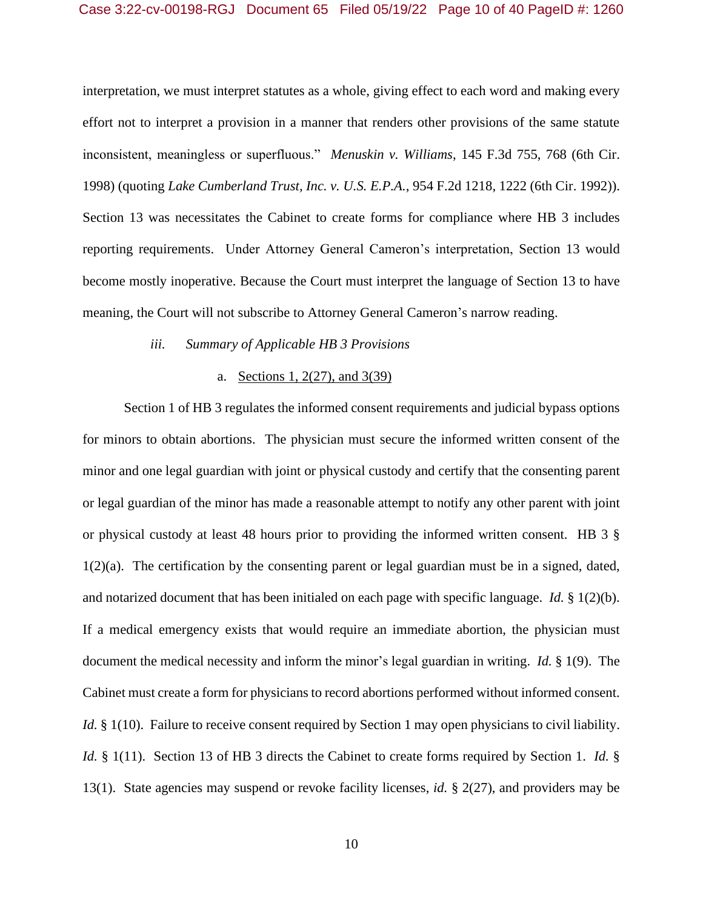interpretation, we must interpret statutes as a whole, giving effect to each word and making every effort not to interpret a provision in a manner that renders other provisions of the same statute inconsistent, meaningless or superfluous." *Menuskin v. Williams*, 145 F.3d 755, 768 (6th Cir. 1998) (quoting *Lake Cumberland Trust, Inc. v. U.S. E.P.A.*, 954 F.2d 1218, 1222 (6th Cir. 1992)). Section 13 was necessitates the Cabinet to create forms for compliance where HB 3 includes reporting requirements. Under Attorney General Cameron's interpretation, Section 13 would become mostly inoperative. Because the Court must interpret the language of Section 13 to have meaning, the Court will not subscribe to Attorney General Cameron's narrow reading.

### *iii. Summary of Applicable HB 3 Provisions*

#### a. Sections 1, 2(27), and 3(39)

Section 1 of HB 3 regulates the informed consent requirements and judicial bypass options for minors to obtain abortions. The physician must secure the informed written consent of the minor and one legal guardian with joint or physical custody and certify that the consenting parent or legal guardian of the minor has made a reasonable attempt to notify any other parent with joint or physical custody at least 48 hours prior to providing the informed written consent. HB 3 §  $1(2)(a)$ . The certification by the consenting parent or legal guardian must be in a signed, dated, and notarized document that has been initialed on each page with specific language. *Id.* § 1(2)(b). If a medical emergency exists that would require an immediate abortion, the physician must document the medical necessity and inform the minor's legal guardian in writing. *Id.* § 1(9). The Cabinet must create a form for physicians to record abortions performed without informed consent. *Id.* § 1(10). Failure to receive consent required by Section 1 may open physicians to civil liability. *Id.* § 1(11). Section 13 of HB 3 directs the Cabinet to create forms required by Section 1. *Id.* § 13(1). State agencies may suspend or revoke facility licenses, *id.* § 2(27), and providers may be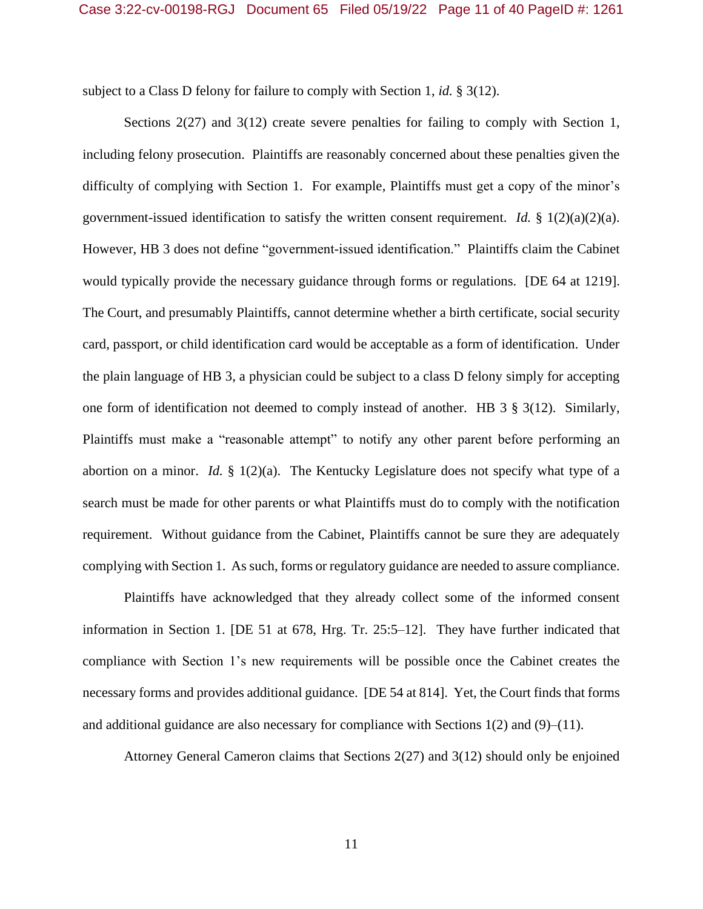subject to a Class D felony for failure to comply with Section 1, *id.* § 3(12).

Sections 2(27) and 3(12) create severe penalties for failing to comply with Section 1, including felony prosecution. Plaintiffs are reasonably concerned about these penalties given the difficulty of complying with Section 1. For example, Plaintiffs must get a copy of the minor's government-issued identification to satisfy the written consent requirement. *Id.* § 1(2)(a)(2)(a). However, HB 3 does not define "government-issued identification." Plaintiffs claim the Cabinet would typically provide the necessary guidance through forms or regulations. [DE 64 at 1219]. The Court, and presumably Plaintiffs, cannot determine whether a birth certificate, social security card, passport, or child identification card would be acceptable as a form of identification. Under the plain language of HB 3, a physician could be subject to a class D felony simply for accepting one form of identification not deemed to comply instead of another. HB 3 § 3(12). Similarly, Plaintiffs must make a "reasonable attempt" to notify any other parent before performing an abortion on a minor. *Id.*  $\frac{8}{3}$  1(2)(a). The Kentucky Legislature does not specify what type of a search must be made for other parents or what Plaintiffs must do to comply with the notification requirement. Without guidance from the Cabinet, Plaintiffs cannot be sure they are adequately complying with Section 1. As such, forms or regulatory guidance are needed to assure compliance.

Plaintiffs have acknowledged that they already collect some of the informed consent information in Section 1. [DE 51 at 678, Hrg. Tr. 25:5–12]. They have further indicated that compliance with Section 1's new requirements will be possible once the Cabinet creates the necessary forms and provides additional guidance. [DE 54 at 814]. Yet, the Court finds that forms and additional guidance are also necessary for compliance with Sections  $1(2)$  and  $(9)$ – $(11)$ .

Attorney General Cameron claims that Sections 2(27) and 3(12) should only be enjoined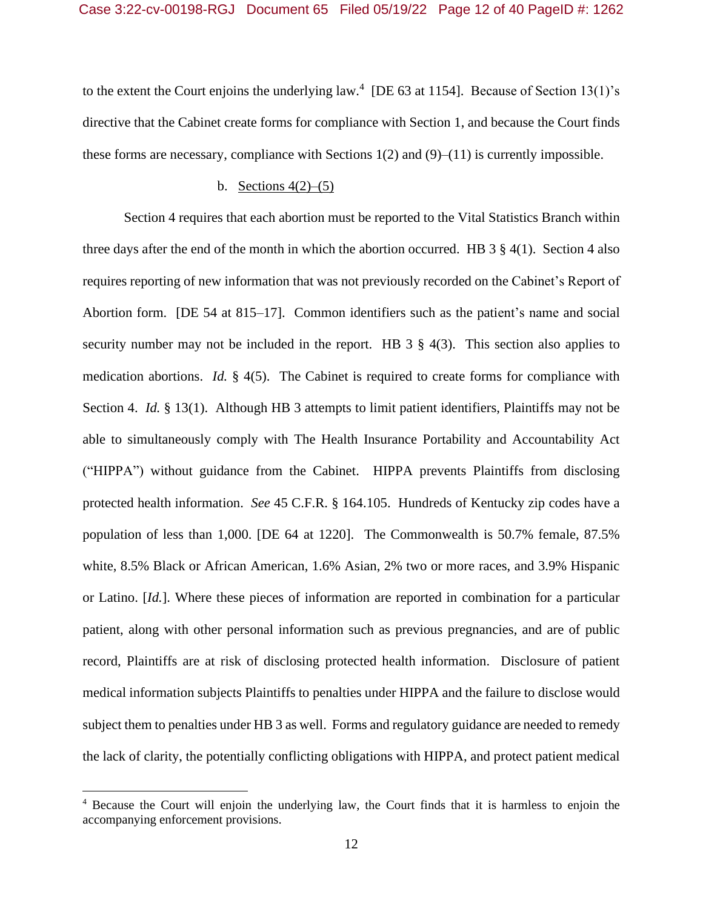to the extent the Court enjoins the underlying law.<sup>4</sup> [DE 63 at 1154]. Because of Section 13(1)'s directive that the Cabinet create forms for compliance with Section 1, and because the Court finds these forms are necessary, compliance with Sections  $1(2)$  and  $(9)$ – $(11)$  is currently impossible.

#### b. Sections  $4(2)$ – $(5)$

Section 4 requires that each abortion must be reported to the Vital Statistics Branch within three days after the end of the month in which the abortion occurred. HB  $3 \times 4(1)$ . Section 4 also requires reporting of new information that was not previously recorded on the Cabinet's Report of Abortion form. [DE 54 at 815–17]. Common identifiers such as the patient's name and social security number may not be included in the report. HB  $3 \frac{8}{9}$  4(3). This section also applies to medication abortions. *Id.* § 4(5). The Cabinet is required to create forms for compliance with Section 4. *Id.* § 13(1). Although HB 3 attempts to limit patient identifiers, Plaintiffs may not be able to simultaneously comply with The Health Insurance Portability and Accountability Act ("HIPPA") without guidance from the Cabinet. HIPPA prevents Plaintiffs from disclosing protected health information. *See* 45 C.F.R. § 164.105. Hundreds of Kentucky zip codes have a population of less than 1,000. [DE 64 at 1220]. The Commonwealth is 50.7% female, 87.5% white, 8.5% Black or African American, 1.6% Asian, 2% two or more races, and 3.9% Hispanic or Latino. [*Id.*]. Where these pieces of information are reported in combination for a particular patient, along with other personal information such as previous pregnancies, and are of public record, Plaintiffs are at risk of disclosing protected health information. Disclosure of patient medical information subjects Plaintiffs to penalties under HIPPA and the failure to disclose would subject them to penalties under HB 3 as well. Forms and regulatory guidance are needed to remedy the lack of clarity, the potentially conflicting obligations with HIPPA, and protect patient medical

<sup>4</sup> Because the Court will enjoin the underlying law, the Court finds that it is harmless to enjoin the accompanying enforcement provisions.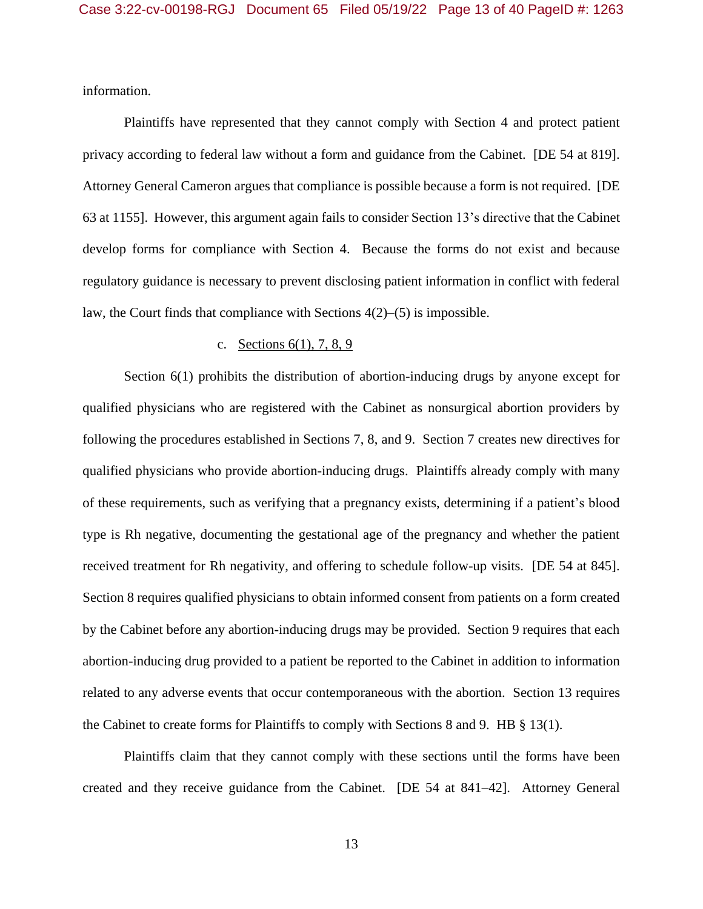information.

Plaintiffs have represented that they cannot comply with Section 4 and protect patient privacy according to federal law without a form and guidance from the Cabinet. [DE 54 at 819]. Attorney General Cameron argues that compliance is possible because a form is not required. [DE 63 at 1155]. However, this argument again fails to consider Section 13's directive that the Cabinet develop forms for compliance with Section 4. Because the forms do not exist and because regulatory guidance is necessary to prevent disclosing patient information in conflict with federal law, the Court finds that compliance with Sections 4(2)–(5) is impossible.

### c. Sections 6(1), 7, 8, 9

Section 6(1) prohibits the distribution of abortion-inducing drugs by anyone except for qualified physicians who are registered with the Cabinet as nonsurgical abortion providers by following the procedures established in Sections 7, 8, and 9. Section 7 creates new directives for qualified physicians who provide abortion-inducing drugs. Plaintiffs already comply with many of these requirements, such as verifying that a pregnancy exists, determining if a patient's blood type is Rh negative, documenting the gestational age of the pregnancy and whether the patient received treatment for Rh negativity, and offering to schedule follow-up visits. [DE 54 at 845]. Section 8 requires qualified physicians to obtain informed consent from patients on a form created by the Cabinet before any abortion-inducing drugs may be provided. Section 9 requires that each abortion-inducing drug provided to a patient be reported to the Cabinet in addition to information related to any adverse events that occur contemporaneous with the abortion. Section 13 requires the Cabinet to create forms for Plaintiffs to comply with Sections 8 and 9. HB § 13(1).

Plaintiffs claim that they cannot comply with these sections until the forms have been created and they receive guidance from the Cabinet. [DE 54 at 841–42]. Attorney General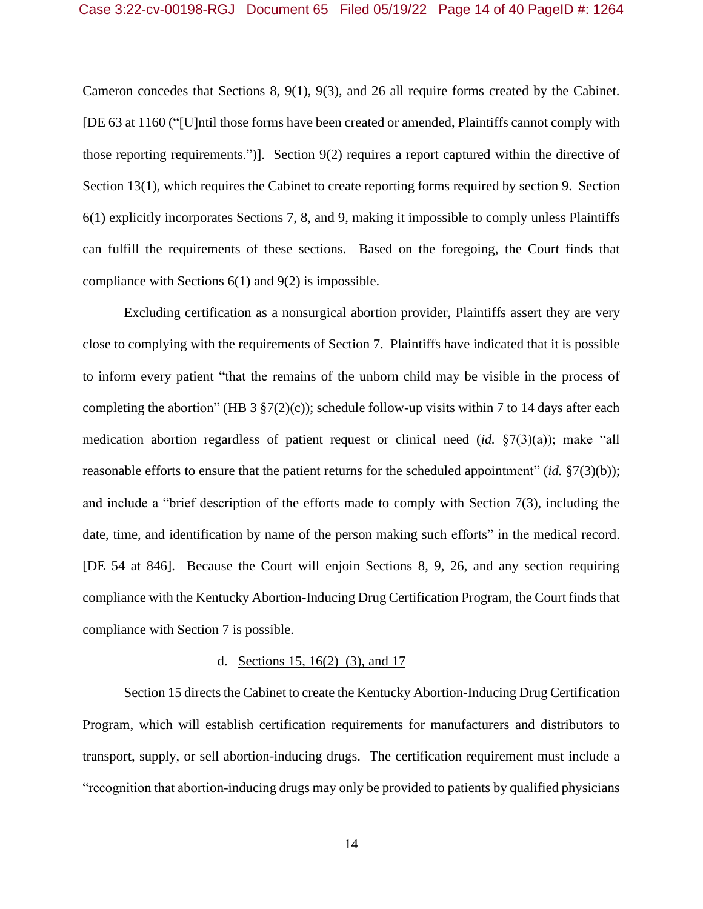Cameron concedes that Sections 8, 9(1), 9(3), and 26 all require forms created by the Cabinet. [DE 63 at 1160 ("[U]ntil those forms have been created or amended, Plaintiffs cannot comply with those reporting requirements.")]. Section 9(2) requires a report captured within the directive of Section 13(1), which requires the Cabinet to create reporting forms required by section 9. Section 6(1) explicitly incorporates Sections 7, 8, and 9, making it impossible to comply unless Plaintiffs can fulfill the requirements of these sections. Based on the foregoing, the Court finds that compliance with Sections 6(1) and 9(2) is impossible.

Excluding certification as a nonsurgical abortion provider, Plaintiffs assert they are very close to complying with the requirements of Section 7. Plaintiffs have indicated that it is possible to inform every patient "that the remains of the unborn child may be visible in the process of completing the abortion" (HB 3  $\S7(2)(c)$ ); schedule follow-up visits within 7 to 14 days after each medication abortion regardless of patient request or clinical need (*id.* §7(3)(a)); make "all reasonable efforts to ensure that the patient returns for the scheduled appointment" (*id.* §7(3)(b)); and include a "brief description of the efforts made to comply with Section 7(3), including the date, time, and identification by name of the person making such efforts" in the medical record. [DE 54 at 846]. Because the Court will enjoin Sections 8, 9, 26, and any section requiring compliance with the Kentucky Abortion-Inducing Drug Certification Program, the Court finds that compliance with Section 7 is possible.

#### d. <u>Sections 15, 16(2)–(3)</u>, and 17

Section 15 directs the Cabinet to create the Kentucky Abortion-Inducing Drug Certification Program, which will establish certification requirements for manufacturers and distributors to transport, supply, or sell abortion-inducing drugs. The certification requirement must include a "recognition that abortion-inducing drugs may only be provided to patients by qualified physicians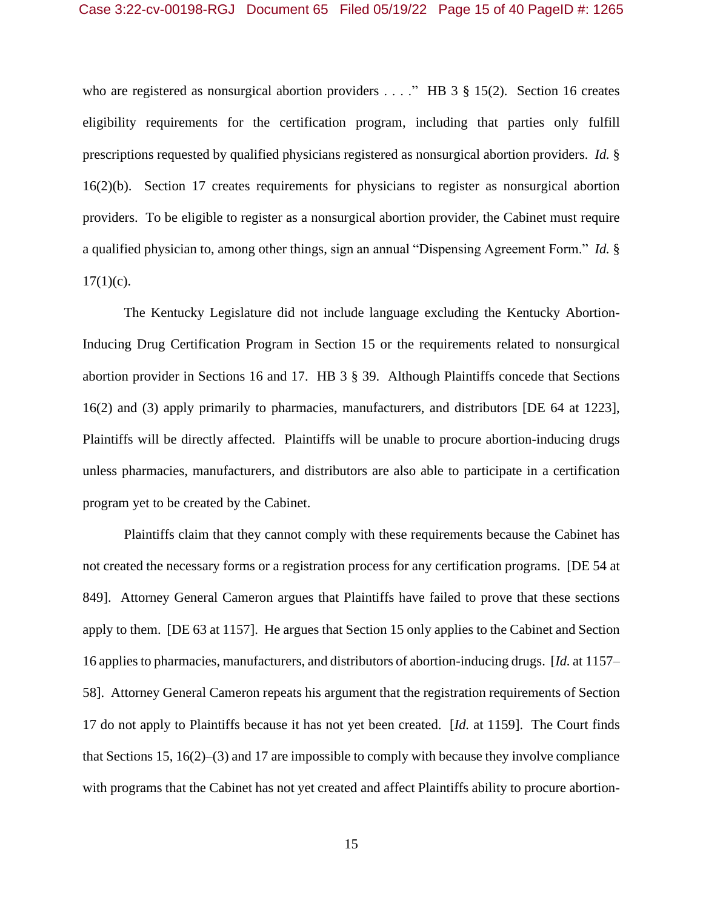who are registered as nonsurgical abortion providers . . . ." HB 3 § 15(2). Section 16 creates eligibility requirements for the certification program, including that parties only fulfill prescriptions requested by qualified physicians registered as nonsurgical abortion providers. *Id.* § 16(2)(b). Section 17 creates requirements for physicians to register as nonsurgical abortion providers. To be eligible to register as a nonsurgical abortion provider, the Cabinet must require a qualified physician to, among other things, sign an annual "Dispensing Agreement Form." *Id.* §  $17(1)(c)$ .

The Kentucky Legislature did not include language excluding the Kentucky Abortion-Inducing Drug Certification Program in Section 15 or the requirements related to nonsurgical abortion provider in Sections 16 and 17. HB 3 § 39. Although Plaintiffs concede that Sections 16(2) and (3) apply primarily to pharmacies, manufacturers, and distributors [DE 64 at 1223], Plaintiffs will be directly affected. Plaintiffs will be unable to procure abortion-inducing drugs unless pharmacies, manufacturers, and distributors are also able to participate in a certification program yet to be created by the Cabinet.

Plaintiffs claim that they cannot comply with these requirements because the Cabinet has not created the necessary forms or a registration process for any certification programs. [DE 54 at 849]. Attorney General Cameron argues that Plaintiffs have failed to prove that these sections apply to them. [DE 63 at 1157]. He argues that Section 15 only applies to the Cabinet and Section 16 applies to pharmacies, manufacturers, and distributors of abortion-inducing drugs. [*Id.* at 1157– 58]. Attorney General Cameron repeats his argument that the registration requirements of Section 17 do not apply to Plaintiffs because it has not yet been created. [*Id.* at 1159]. The Court finds that Sections 15, 16(2)–(3) and 17 are impossible to comply with because they involve compliance with programs that the Cabinet has not yet created and affect Plaintiffs ability to procure abortion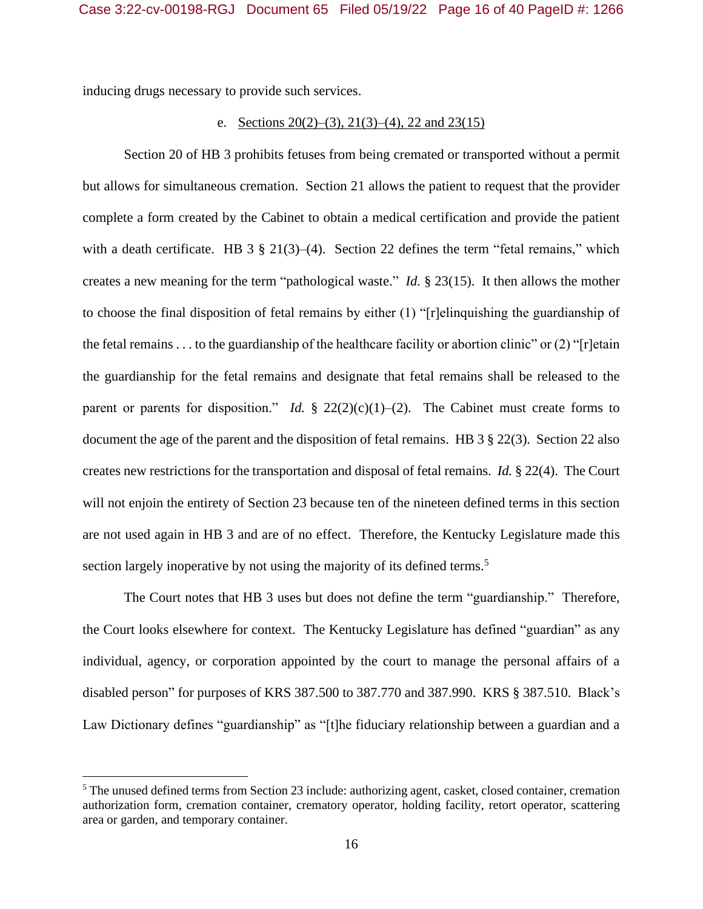inducing drugs necessary to provide such services.

### e. Sections  $20(2)$ –(3),  $21(3)$ –(4), 22 and 23(15)

Section 20 of HB 3 prohibits fetuses from being cremated or transported without a permit but allows for simultaneous cremation. Section 21 allows the patient to request that the provider complete a form created by the Cabinet to obtain a medical certification and provide the patient with a death certificate. HB 3  $\S 21(3)$ –(4). Section 22 defines the term "fetal remains," which creates a new meaning for the term "pathological waste." *Id.* § 23(15). It then allows the mother to choose the final disposition of fetal remains by either (1) "[r]elinquishing the guardianship of the fetal remains . . . to the guardianship of the healthcare facility or abortion clinic" or  $(2)$  "[r]etain the guardianship for the fetal remains and designate that fetal remains shall be released to the parent or parents for disposition." *Id.*  $\S$  22(2)(c)(1)–(2). The Cabinet must create forms to document the age of the parent and the disposition of fetal remains. HB 3 § 22(3). Section 22 also creates new restrictions for the transportation and disposal of fetal remains. *Id.* § 22(4). The Court will not enjoin the entirety of Section 23 because ten of the nineteen defined terms in this section are not used again in HB 3 and are of no effect. Therefore, the Kentucky Legislature made this section largely inoperative by not using the majority of its defined terms.<sup>5</sup>

The Court notes that HB 3 uses but does not define the term "guardianship." Therefore, the Court looks elsewhere for context. The Kentucky Legislature has defined "guardian" as any individual, agency, or corporation appointed by the court to manage the personal affairs of a disabled person" for purposes of KRS 387.500 to 387.770 and 387.990. KRS § 387.510. Black's Law Dictionary defines "guardianship" as "[t]he fiduciary relationship between a guardian and a

<sup>5</sup> The unused defined terms from Section 23 include: authorizing agent, casket, closed container, cremation authorization form, cremation container, crematory operator, holding facility, retort operator, scattering area or garden, and temporary container.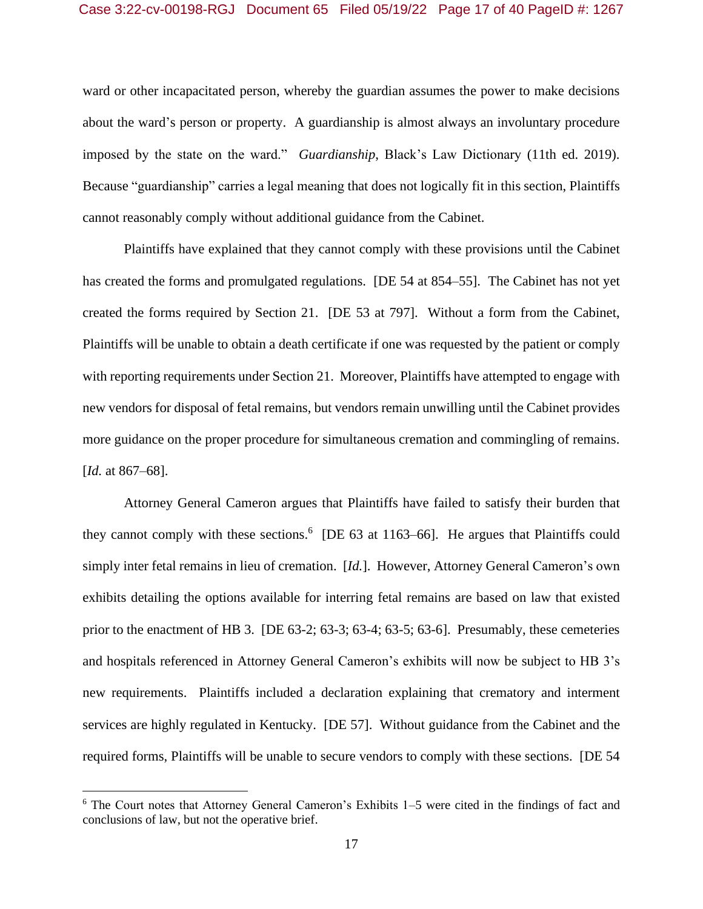ward or other incapacitated person, whereby the guardian assumes the power to make decisions about the ward's person or property. A guardianship is almost always an involuntary procedure imposed by the state on the ward." *Guardianship*, Black's Law Dictionary (11th ed. 2019). Because "guardianship" carries a legal meaning that does not logically fit in this section, Plaintiffs cannot reasonably comply without additional guidance from the Cabinet.

Plaintiffs have explained that they cannot comply with these provisions until the Cabinet has created the forms and promulgated regulations. [DE 54 at 854–55]. The Cabinet has not yet created the forms required by Section 21. [DE 53 at 797]. Without a form from the Cabinet, Plaintiffs will be unable to obtain a death certificate if one was requested by the patient or comply with reporting requirements under Section 21. Moreover, Plaintiffs have attempted to engage with new vendors for disposal of fetal remains, but vendors remain unwilling until the Cabinet provides more guidance on the proper procedure for simultaneous cremation and commingling of remains. [*Id.* at 867–68].

Attorney General Cameron argues that Plaintiffs have failed to satisfy their burden that they cannot comply with these sections.<sup>6</sup> [DE 63 at 1163–66]. He argues that Plaintiffs could simply inter fetal remains in lieu of cremation. [*Id.*]. However, Attorney General Cameron's own exhibits detailing the options available for interring fetal remains are based on law that existed prior to the enactment of HB 3. [DE 63-2; 63-3; 63-4; 63-5; 63-6]. Presumably, these cemeteries and hospitals referenced in Attorney General Cameron's exhibits will now be subject to HB 3's new requirements. Plaintiffs included a declaration explaining that crematory and interment services are highly regulated in Kentucky. [DE 57]. Without guidance from the Cabinet and the required forms, Plaintiffs will be unable to secure vendors to comply with these sections. [DE 54

<sup>6</sup> The Court notes that Attorney General Cameron's Exhibits 1–5 were cited in the findings of fact and conclusions of law, but not the operative brief.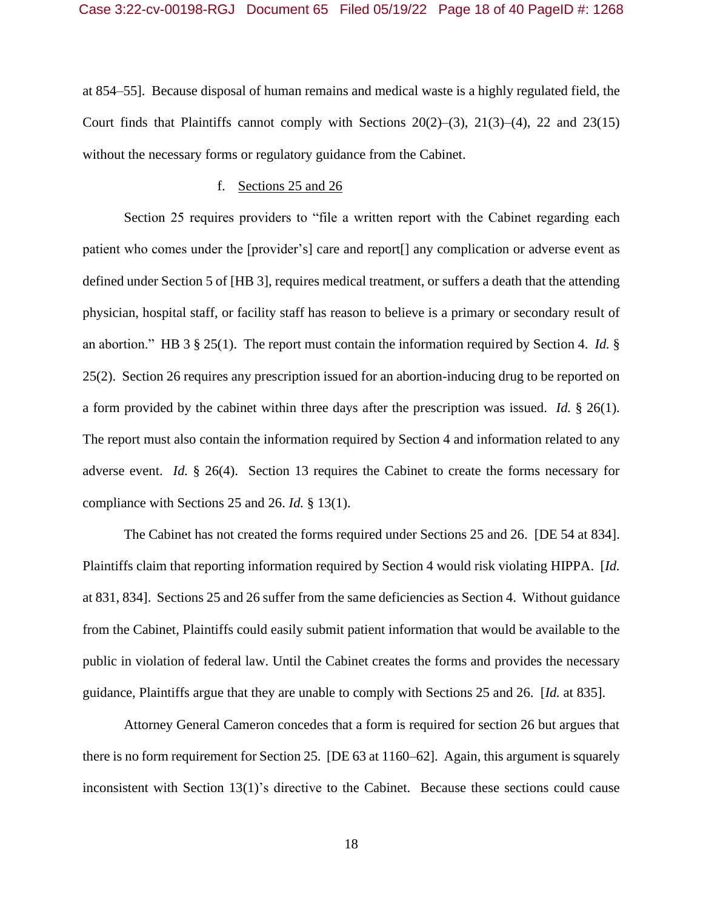at 854–55]. Because disposal of human remains and medical waste is a highly regulated field, the Court finds that Plaintiffs cannot comply with Sections  $20(2)$ –(3),  $21(3)$ –(4), 22 and 23(15) without the necessary forms or regulatory guidance from the Cabinet.

#### f. Sections 25 and 26

Section 25 requires providers to "file a written report with the Cabinet regarding each patient who comes under the [provider's] care and report[] any complication or adverse event as defined under Section 5 of [HB 3], requires medical treatment, or suffers a death that the attending physician, hospital staff, or facility staff has reason to believe is a primary or secondary result of an abortion." HB 3 § 25(1). The report must contain the information required by Section 4. *Id.* § 25(2). Section 26 requires any prescription issued for an abortion-inducing drug to be reported on a form provided by the cabinet within three days after the prescription was issued. *Id.* § 26(1). The report must also contain the information required by Section 4 and information related to any adverse event. *Id.* § 26(4). Section 13 requires the Cabinet to create the forms necessary for compliance with Sections 25 and 26. *Id.* § 13(1).

The Cabinet has not created the forms required under Sections 25 and 26. [DE 54 at 834]. Plaintiffs claim that reporting information required by Section 4 would risk violating HIPPA. [*Id.* at 831, 834]. Sections 25 and 26 suffer from the same deficiencies as Section 4. Without guidance from the Cabinet, Plaintiffs could easily submit patient information that would be available to the public in violation of federal law. Until the Cabinet creates the forms and provides the necessary guidance, Plaintiffs argue that they are unable to comply with Sections 25 and 26. [*Id.* at 835].

Attorney General Cameron concedes that a form is required for section 26 but argues that there is no form requirement for Section 25. [DE 63 at 1160–62]. Again, this argument is squarely inconsistent with Section 13(1)'s directive to the Cabinet. Because these sections could cause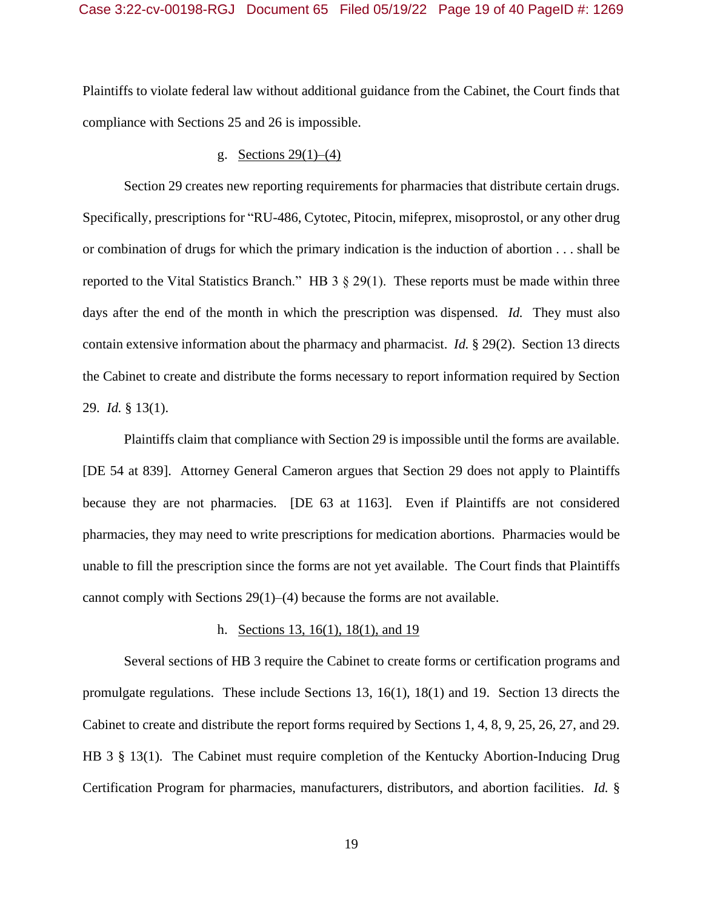Plaintiffs to violate federal law without additional guidance from the Cabinet, the Court finds that compliance with Sections 25 and 26 is impossible.

### g. Sections  $29(1)–(4)$

Section 29 creates new reporting requirements for pharmacies that distribute certain drugs. Specifically, prescriptions for "RU-486, Cytotec, Pitocin, mifeprex, misoprostol, or any other drug or combination of drugs for which the primary indication is the induction of abortion . . . shall be reported to the Vital Statistics Branch." HB  $3 \times 29(1)$ . These reports must be made within three days after the end of the month in which the prescription was dispensed. *Id.* They must also contain extensive information about the pharmacy and pharmacist. *Id.* § 29(2). Section 13 directs the Cabinet to create and distribute the forms necessary to report information required by Section 29. *Id.* § 13(1).

Plaintiffs claim that compliance with Section 29 is impossible until the forms are available. [DE 54 at 839]. Attorney General Cameron argues that Section 29 does not apply to Plaintiffs because they are not pharmacies. [DE 63 at 1163]. Even if Plaintiffs are not considered pharmacies, they may need to write prescriptions for medication abortions. Pharmacies would be unable to fill the prescription since the forms are not yet available. The Court finds that Plaintiffs cannot comply with Sections 29(1)–(4) because the forms are not available.

## h. Sections 13, 16(1), 18(1), and 19

Several sections of HB 3 require the Cabinet to create forms or certification programs and promulgate regulations. These include Sections 13, 16(1), 18(1) and 19. Section 13 directs the Cabinet to create and distribute the report forms required by Sections 1, 4, 8, 9, 25, 26, 27, and 29. HB 3 § 13(1). The Cabinet must require completion of the Kentucky Abortion-Inducing Drug Certification Program for pharmacies, manufacturers, distributors, and abortion facilities. *Id.* §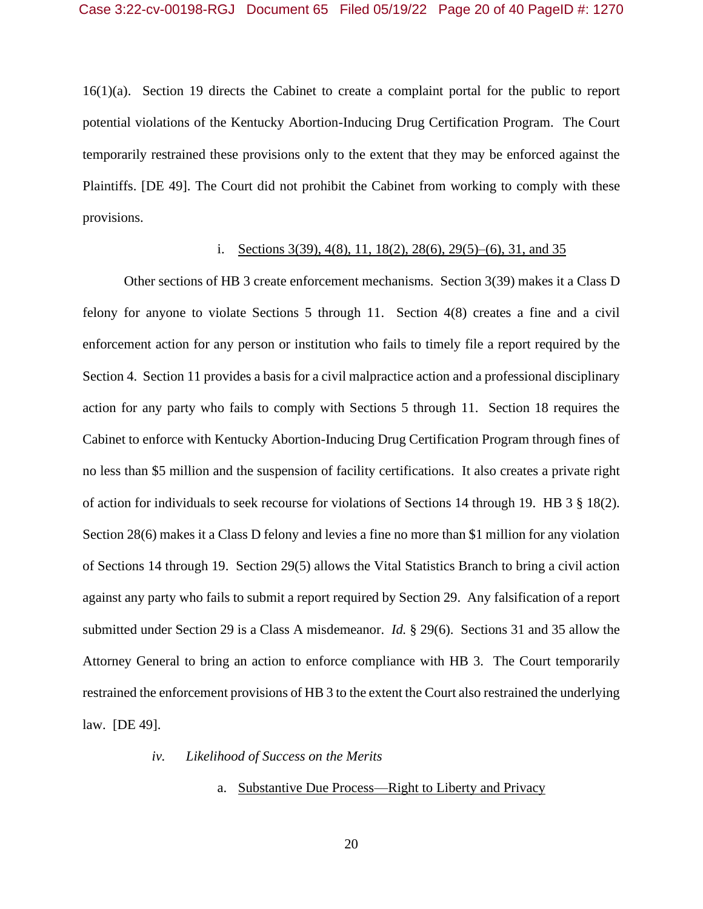16(1)(a). Section 19 directs the Cabinet to create a complaint portal for the public to report potential violations of the Kentucky Abortion-Inducing Drug Certification Program. The Court temporarily restrained these provisions only to the extent that they may be enforced against the Plaintiffs. [DE 49]. The Court did not prohibit the Cabinet from working to comply with these provisions.

### i. Sections 3(39), 4(8), 11, 18(2), 28(6), 29(5)–(6), 31, and 35

Other sections of HB 3 create enforcement mechanisms. Section 3(39) makes it a Class D felony for anyone to violate Sections 5 through 11. Section 4(8) creates a fine and a civil enforcement action for any person or institution who fails to timely file a report required by the Section 4. Section 11 provides a basis for a civil malpractice action and a professional disciplinary action for any party who fails to comply with Sections 5 through 11. Section 18 requires the Cabinet to enforce with Kentucky Abortion-Inducing Drug Certification Program through fines of no less than \$5 million and the suspension of facility certifications. It also creates a private right of action for individuals to seek recourse for violations of Sections 14 through 19. HB 3 § 18(2). Section 28(6) makes it a Class D felony and levies a fine no more than \$1 million for any violation of Sections 14 through 19. Section 29(5) allows the Vital Statistics Branch to bring a civil action against any party who fails to submit a report required by Section 29. Any falsification of a report submitted under Section 29 is a Class A misdemeanor. *Id.* § 29(6). Sections 31 and 35 allow the Attorney General to bring an action to enforce compliance with HB 3. The Court temporarily restrained the enforcement provisions of HB 3 to the extent the Court also restrained the underlying law. [DE 49].

### *iv. Likelihood of Success on the Merits*

### a. Substantive Due Process—Right to Liberty and Privacy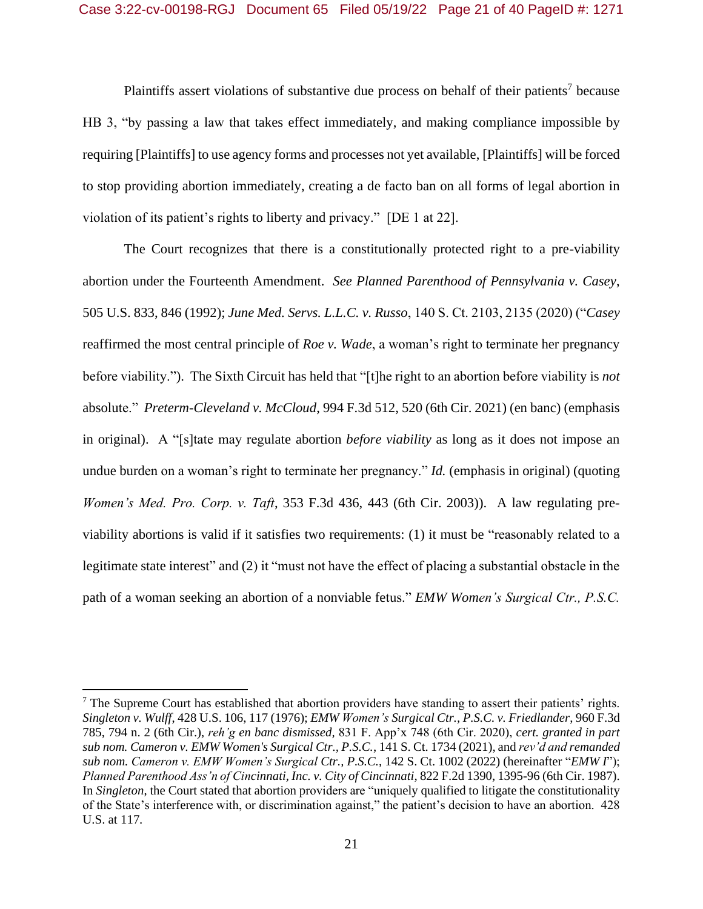Plaintiffs assert violations of substantive due process on behalf of their patients<sup>7</sup> because HB 3, "by passing a law that takes effect immediately, and making compliance impossible by requiring [Plaintiffs] to use agency forms and processes not yet available, [Plaintiffs] will be forced to stop providing abortion immediately, creating a de facto ban on all forms of legal abortion in violation of its patient's rights to liberty and privacy." [DE 1 at 22].

The Court recognizes that there is a constitutionally protected right to a pre-viability abortion under the Fourteenth Amendment. *See Planned Parenthood of Pennsylvania v. Casey*, 505 U.S. 833, 846 (1992); *June Med. Servs. L.L.C. v. Russo*, 140 S. Ct. 2103, 2135 (2020) ("*Casey*  reaffirmed the most central principle of *Roe v. Wade*, a woman's right to terminate her pregnancy before viability."). The Sixth Circuit has held that "[t]he right to an abortion before viability is *not*  absolute." *Preterm-Cleveland v. McCloud*, 994 F.3d 512, 520 (6th Cir. 2021) (en banc) (emphasis in original). A "[s]tate may regulate abortion *before viability* as long as it does not impose an undue burden on a woman's right to terminate her pregnancy." *Id.* (emphasis in original) (quoting *Women's Med. Pro. Corp. v. Taft*, 353 F.3d 436, 443 (6th Cir. 2003)). A law regulating previability abortions is valid if it satisfies two requirements: (1) it must be "reasonably related to a legitimate state interest" and (2) it "must not have the effect of placing a substantial obstacle in the path of a woman seeking an abortion of a nonviable fetus." *EMW Women's Surgical Ctr., P.S.C.* 

 $<sup>7</sup>$  The Supreme Court has established that abortion providers have standing to assert their patients' rights.</sup> *Singleton v. Wulff*, 428 U.S. 106, 117 (1976); *EMW Women's Surgical Ctr., P.S.C. v. Friedlander*, 960 F.3d 785, 794 n. 2 (6th Cir.), *reh'g en banc dismissed,* 831 F. App'x 748 (6th Cir. 2020), *cert. granted in part sub nom. Cameron v. EMW Women's Surgical Ctr., P.S.C.*, 141 S. Ct. 1734 (2021), and *rev'd and remanded sub nom. Cameron v. EMW Women's Surgical Ctr., P.S.C.*, 142 S. Ct. 1002 (2022) (hereinafter "*EMW I*"); *Planned Parenthood Ass'n of Cincinnati, Inc. v. City of Cincinnati*, 822 F.2d 1390, 1395-96 (6th Cir. 1987). In *Singleton*, the Court stated that abortion providers are "uniquely qualified to litigate the constitutionality of the State's interference with, or discrimination against," the patient's decision to have an abortion. 428 U.S. at 117.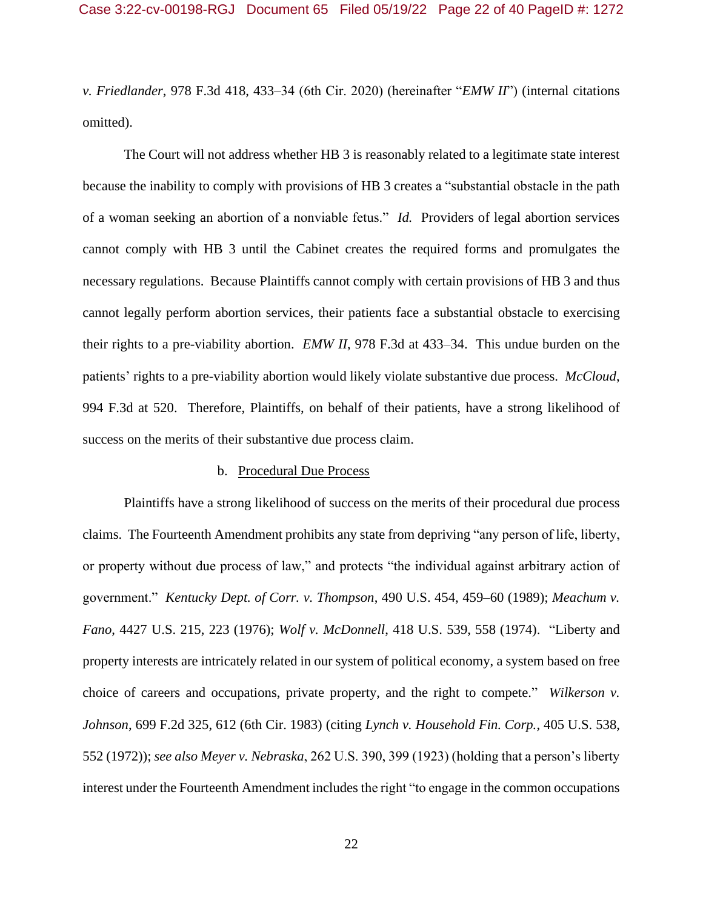*v. Friedlander*, 978 F.3d 418, 433–34 (6th Cir. 2020) (hereinafter "*EMW II*") (internal citations omitted).

The Court will not address whether HB 3 is reasonably related to a legitimate state interest because the inability to comply with provisions of HB 3 creates a "substantial obstacle in the path of a woman seeking an abortion of a nonviable fetus." *Id.* Providers of legal abortion services cannot comply with HB 3 until the Cabinet creates the required forms and promulgates the necessary regulations. Because Plaintiffs cannot comply with certain provisions of HB 3 and thus cannot legally perform abortion services, their patients face a substantial obstacle to exercising their rights to a pre-viability abortion. *EMW II*, 978 F.3d at 433–34. This undue burden on the patients' rights to a pre-viability abortion would likely violate substantive due process. *McCloud*, 994 F.3d at 520. Therefore, Plaintiffs, on behalf of their patients, have a strong likelihood of success on the merits of their substantive due process claim.

### b. Procedural Due Process

Plaintiffs have a strong likelihood of success on the merits of their procedural due process claims. The Fourteenth Amendment prohibits any state from depriving "any person of life, liberty, or property without due process of law," and protects "the individual against arbitrary action of government." *Kentucky Dept. of Corr. v. Thompson*, 490 U.S. 454, 459–60 (1989); *Meachum v. Fano*, 4427 U.S. 215, 223 (1976); *Wolf v. McDonnell*, 418 U.S. 539, 558 (1974). "Liberty and property interests are intricately related in our system of political economy, a system based on free choice of careers and occupations, private property, and the right to compete." *Wilkerson v. Johnson*, 699 F.2d 325, 612 (6th Cir. 1983) (citing *Lynch v. Household Fin. Corp.*, 405 U.S. 538, 552 (1972)); *see also Meyer v. Nebraska*, 262 U.S. 390, 399 (1923) (holding that a person's liberty interest under the Fourteenth Amendment includes the right "to engage in the common occupations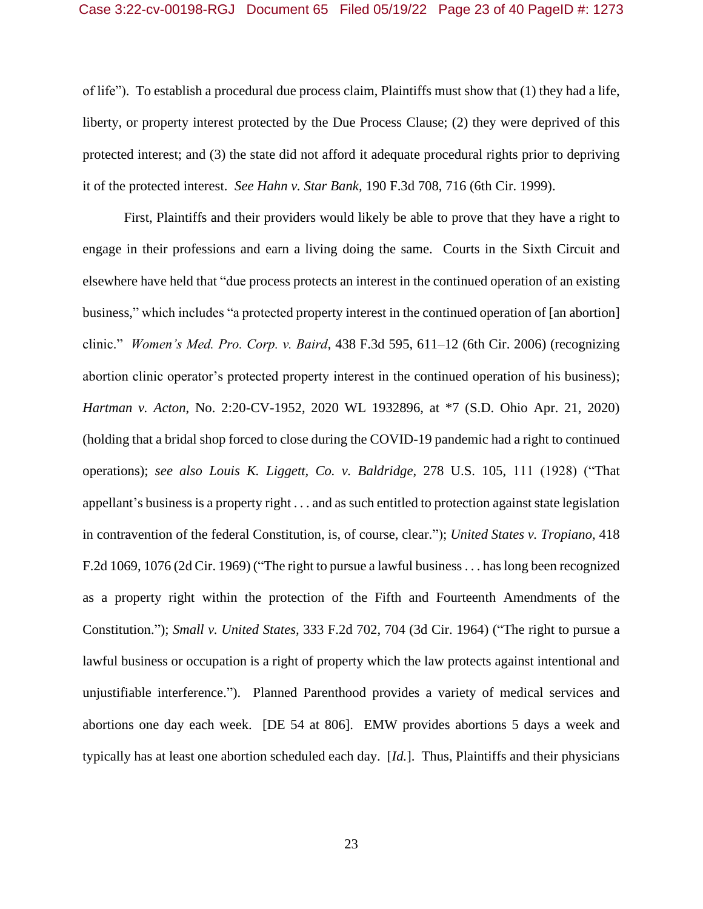of life"). To establish a procedural due process claim, Plaintiffs must show that (1) they had a life, liberty, or property interest protected by the Due Process Clause; (2) they were deprived of this protected interest; and (3) the state did not afford it adequate procedural rights prior to depriving it of the protected interest. *See Hahn v. Star Bank,* 190 F.3d 708, 716 (6th Cir. 1999).

First, Plaintiffs and their providers would likely be able to prove that they have a right to engage in their professions and earn a living doing the same. Courts in the Sixth Circuit and elsewhere have held that "due process protects an interest in the continued operation of an existing business," which includes "a protected property interest in the continued operation of [an abortion] clinic." *Women's Med. Pro. Corp. v. Baird*, 438 F.3d 595, 611–12 (6th Cir. 2006) (recognizing abortion clinic operator's protected property interest in the continued operation of his business); *Hartman v. Acton*, No. 2:20-CV-1952, 2020 WL 1932896, at \*7 (S.D. Ohio Apr. 21, 2020) (holding that a bridal shop forced to close during the COVID-19 pandemic had a right to continued operations); *see also Louis K. Liggett, Co. v. Baldridge*, 278 U.S. 105, 111 (1928) ("That appellant's business is a property right . . . and as such entitled to protection against state legislation in contravention of the federal Constitution, is, of course, clear."); *United States v. Tropiano,* 418 F.2d 1069, 1076 (2d Cir. 1969) ("The right to pursue a lawful business . . . has long been recognized as a property right within the protection of the Fifth and Fourteenth Amendments of the Constitution."); *Small v. United States,* 333 F.2d 702, 704 (3d Cir. 1964) ("The right to pursue a lawful business or occupation is a right of property which the law protects against intentional and unjustifiable interference."). Planned Parenthood provides a variety of medical services and abortions one day each week. [DE 54 at 806]. EMW provides abortions 5 days a week and typically has at least one abortion scheduled each day. [*Id.*].Thus, Plaintiffs and their physicians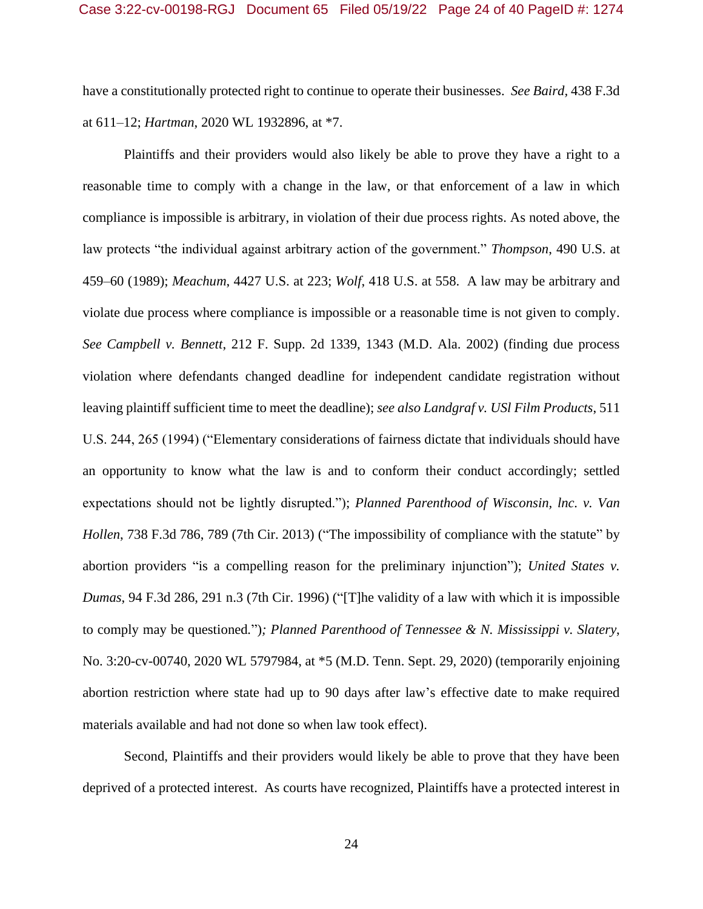have a constitutionally protected right to continue to operate their businesses. *See Baird,* 438 F.3d at 611–12; *Hartman*, 2020 WL 1932896, at \*7.

Plaintiffs and their providers would also likely be able to prove they have a right to a reasonable time to comply with a change in the law, or that enforcement of a law in which compliance is impossible is arbitrary, in violation of their due process rights. As noted above, the law protects "the individual against arbitrary action of the government." *Thompson*, 490 U.S. at 459–60 (1989); *Meachum*, 4427 U.S. at 223; *Wolf*, 418 U.S. at 558. A law may be arbitrary and violate due process where compliance is impossible or a reasonable time is not given to comply. *See Campbell v. Bennett*, 212 F. Supp. 2d 1339, 1343 (M.D. Ala. 2002) (finding due process violation where defendants changed deadline for independent candidate registration without leaving plaintiff sufficient time to meet the deadline); *see also Landgraf v. USl Film Products*, 511 U.S. 244, 265 (1994) ("Elementary considerations of fairness dictate that individuals should have an opportunity to know what the law is and to conform their conduct accordingly; settled expectations should not be lightly disrupted."); *Planned Parenthood of Wisconsin, lnc. v. Van Hollen*, 738 F.3d 786, 789 (7th Cir. 2013) ("The impossibility of compliance with the statute" by abortion providers "is a compelling reason for the preliminary injunction"); *United States v. Dumas*, 94 F.3d 286, 291 n.3 (7th Cir. 1996) ("[T]he validity of a law with which it is impossible to comply may be questioned*.*")*; Planned Parenthood of Tennessee & N. Mississippi v. Slatery*, No. 3:20-cv-00740, 2020 WL 5797984, at \*5 (M.D. Tenn. Sept. 29, 2020) (temporarily enjoining abortion restriction where state had up to 90 days after law's effective date to make required materials available and had not done so when law took effect).

Second, Plaintiffs and their providers would likely be able to prove that they have been deprived of a protected interest. As courts have recognized, Plaintiffs have a protected interest in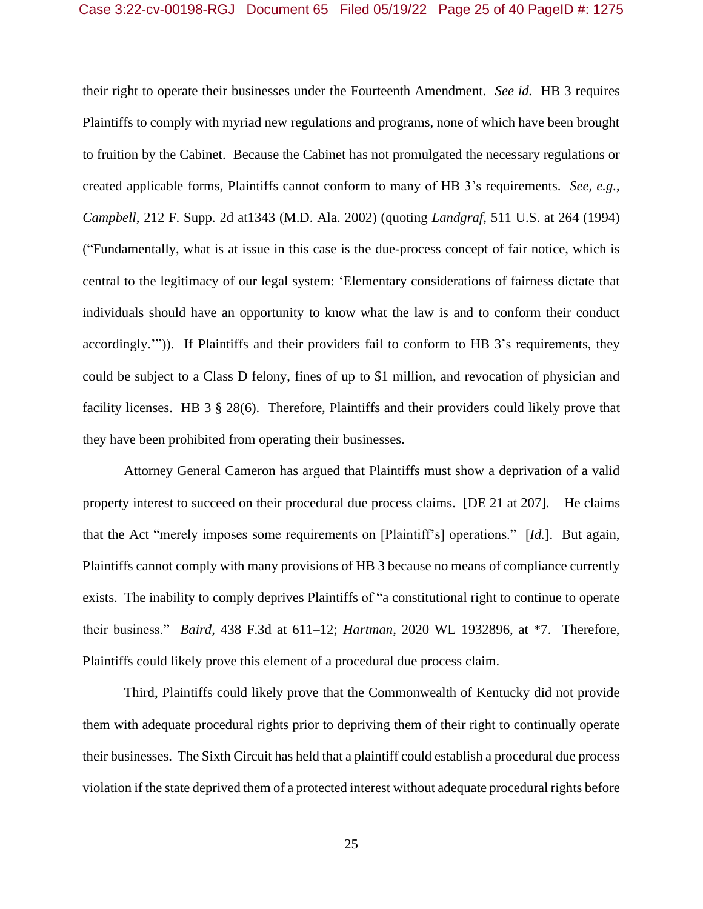their right to operate their businesses under the Fourteenth Amendment. *See id.* HB 3 requires Plaintiffs to comply with myriad new regulations and programs, none of which have been brought to fruition by the Cabinet. Because the Cabinet has not promulgated the necessary regulations or created applicable forms, Plaintiffs cannot conform to many of HB 3's requirements. *See, e.g.*, *Campbell*, 212 F. Supp. 2d at1343 (M.D. Ala. 2002) (quoting *Landgraf,* 511 U.S. at 264 (1994) ("Fundamentally, what is at issue in this case is the due-process concept of fair notice, which is central to the legitimacy of our legal system: 'Elementary considerations of fairness dictate that individuals should have an opportunity to know what the law is and to conform their conduct accordingly.'")). If Plaintiffs and their providers fail to conform to HB 3's requirements, they could be subject to a Class D felony, fines of up to \$1 million, and revocation of physician and facility licenses. HB 3 § 28(6). Therefore, Plaintiffs and their providers could likely prove that they have been prohibited from operating their businesses.

Attorney General Cameron has argued that Plaintiffs must show a deprivation of a valid property interest to succeed on their procedural due process claims. [DE 21 at 207]. He claims that the Act "merely imposes some requirements on [Plaintiff's] operations." [*Id.*]. But again, Plaintiffs cannot comply with many provisions of HB 3 because no means of compliance currently exists. The inability to comply deprives Plaintiffs of "a constitutional right to continue to operate their business." *Baird,* 438 F.3d at 611–12; *Hartman*, 2020 WL 1932896, at \*7. Therefore, Plaintiffs could likely prove this element of a procedural due process claim.

Third, Plaintiffs could likely prove that the Commonwealth of Kentucky did not provide them with adequate procedural rights prior to depriving them of their right to continually operate their businesses. The Sixth Circuit has held that a plaintiff could establish a procedural due process violation if the state deprived them of a protected interest without adequate procedural rights before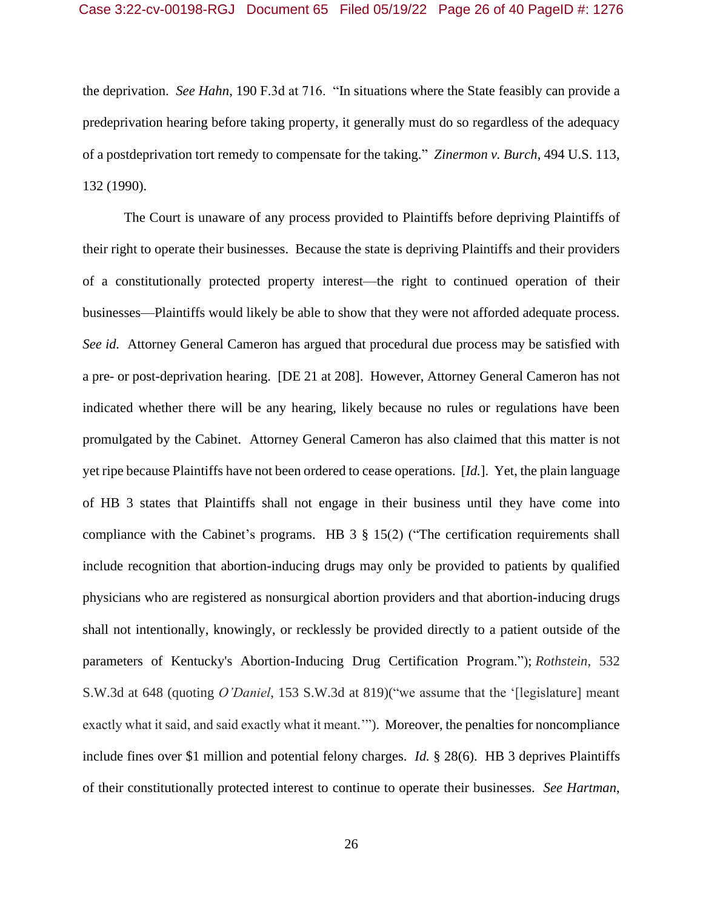the deprivation. *See Hahn*, 190 F.3d at 716. "In situations where the State feasibly can provide a predeprivation hearing before taking property, it generally must do so regardless of the adequacy of a postdeprivation tort remedy to compensate for the taking." *Zinermon v. Burch*, 494 U.S. 113, 132 (1990).

The Court is unaware of any process provided to Plaintiffs before depriving Plaintiffs of their right to operate their businesses. Because the state is depriving Plaintiffs and their providers of a constitutionally protected property interest—the right to continued operation of their businesses—Plaintiffs would likely be able to show that they were not afforded adequate process. *See id.* Attorney General Cameron has argued that procedural due process may be satisfied with a pre- or post-deprivation hearing. [DE 21 at 208]. However, Attorney General Cameron has not indicated whether there will be any hearing, likely because no rules or regulations have been promulgated by the Cabinet. Attorney General Cameron has also claimed that this matter is not yet ripe because Plaintiffs have not been ordered to cease operations. [*Id.*]. Yet, the plain language of HB 3 states that Plaintiffs shall not engage in their business until they have come into compliance with the Cabinet's programs. HB 3 § 15(2) ("The certification requirements shall include recognition that abortion-inducing drugs may only be provided to patients by qualified physicians who are registered as nonsurgical abortion providers and that abortion-inducing drugs shall not intentionally, knowingly, or recklessly be provided directly to a patient outside of the parameters of Kentucky's Abortion-Inducing Drug Certification Program."); *Rothstein*, 532 S.W.3d at 648 (quoting *O'Daniel*, 153 S.W.3d at 819)("we assume that the '[legislature] meant exactly what it said, and said exactly what it meant.'"). Moreover, the penalties for noncompliance include fines over \$1 million and potential felony charges. *Id.* § 28(6). HB 3 deprives Plaintiffs of their constitutionally protected interest to continue to operate their businesses. *See Hartman*,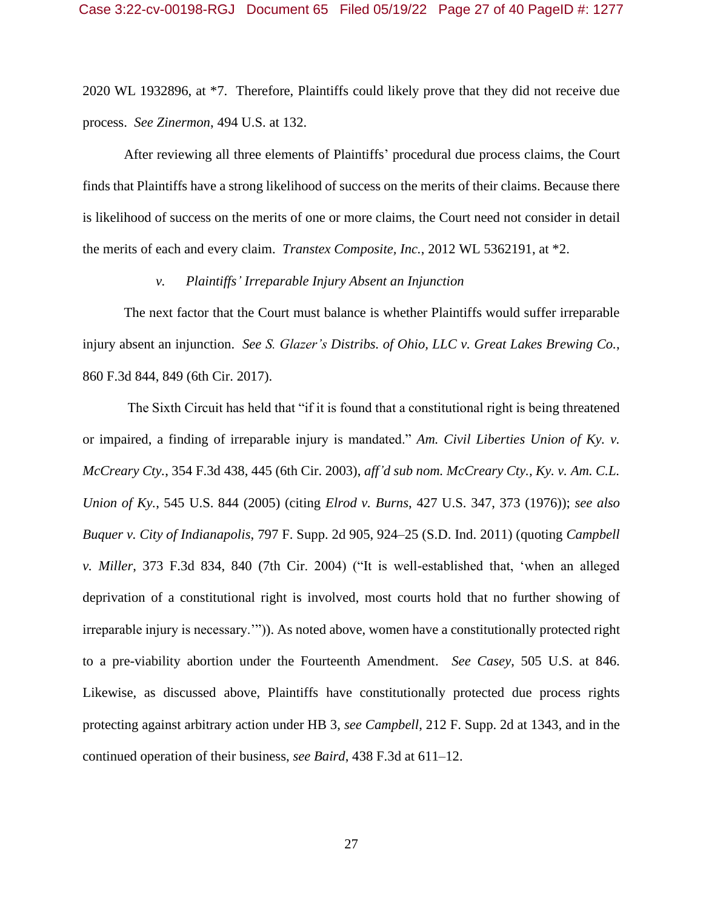2020 WL 1932896, at \*7. Therefore, Plaintiffs could likely prove that they did not receive due process. *See Zinermon*, 494 U.S. at 132.

After reviewing all three elements of Plaintiffs' procedural due process claims, the Court finds that Plaintiffs have a strong likelihood of success on the merits of their claims. Because there is likelihood of success on the merits of one or more claims, the Court need not consider in detail the merits of each and every claim. *Transtex Composite, Inc.*, 2012 WL 5362191, at \*2.

### *v. Plaintiffs' Irreparable Injury Absent an Injunction*

The next factor that the Court must balance is whether Plaintiffs would suffer irreparable injury absent an injunction. *See S. Glazer's Distribs. of Ohio, LLC v. Great Lakes Brewing Co.*, 860 F.3d 844, 849 (6th Cir. 2017).

The Sixth Circuit has held that "if it is found that a constitutional right is being threatened or impaired, a finding of irreparable injury is mandated." *Am. Civil Liberties Union of Ky. v. McCreary Cty.*, 354 F.3d 438, 445 (6th Cir. 2003), *aff'd sub nom. McCreary Cty., Ky. v. Am. C.L. Union of Ky.*, 545 U.S. 844 (2005) (citing *Elrod v. Burns*, 427 U.S. 347, 373 (1976)); *see also Buquer v. City of Indianapolis*, 797 F. Supp. 2d 905, 924–25 (S.D. Ind. 2011) (quoting *Campbell v. Miller*, 373 F.3d 834, 840 (7th Cir. 2004) ("It is well-established that, 'when an alleged deprivation of a constitutional right is involved, most courts hold that no further showing of irreparable injury is necessary.'")). As noted above, women have a constitutionally protected right to a pre-viability abortion under the Fourteenth Amendment. *See Casey*, 505 U.S. at 846. Likewise, as discussed above, Plaintiffs have constitutionally protected due process rights protecting against arbitrary action under HB 3, *see Campbell*, 212 F. Supp. 2d at 1343, and in the continued operation of their business, *see Baird*, 438 F.3d at 611–12.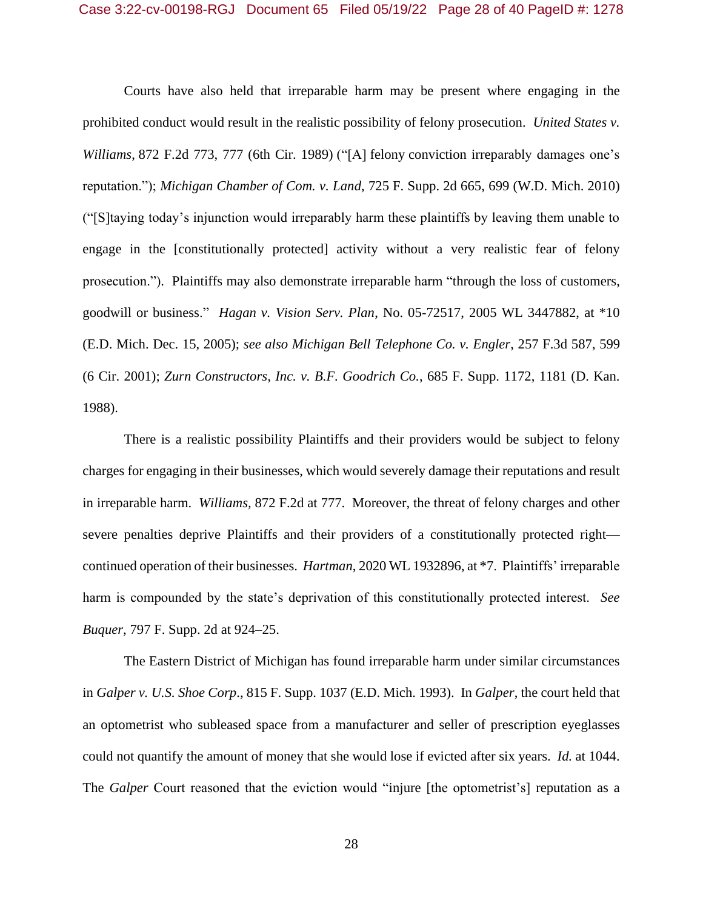Courts have also held that irreparable harm may be present where engaging in the prohibited conduct would result in the realistic possibility of felony prosecution. *United States v. Williams*, 872 F.2d 773, 777 (6th Cir. 1989) ("[A] felony conviction irreparably damages one's reputation."); *Michigan Chamber of Com. v. Land*, 725 F. Supp. 2d 665, 699 (W.D. Mich. 2010) ("[S]taying today's injunction would irreparably harm these plaintiffs by leaving them unable to engage in the [constitutionally protected] activity without a very realistic fear of felony prosecution."). Plaintiffs may also demonstrate irreparable harm "through the loss of customers, goodwill or business." *Hagan v. Vision Serv. Plan*, No. 05-72517, 2005 WL 3447882, at \*10 (E.D. Mich. Dec. 15, 2005); *see also Michigan Bell Telephone Co. v. Engler*, 257 F.3d 587, 599 (6 Cir. 2001); *Zurn Constructors, Inc. v. B.F. Goodrich Co.*, 685 F. Supp. 1172, 1181 (D. Kan. 1988).

There is a realistic possibility Plaintiffs and their providers would be subject to felony charges for engaging in their businesses, which would severely damage their reputations and result in irreparable harm. *Williams,* 872 F.2d at 777. Moreover, the threat of felony charges and other severe penalties deprive Plaintiffs and their providers of a constitutionally protected right continued operation of their businesses. *Hartman*, 2020 WL 1932896, at \*7. Plaintiffs' irreparable harm is compounded by the state's deprivation of this constitutionally protected interest. *See Buquer*, 797 F. Supp. 2d at 924–25.

The Eastern District of Michigan has found irreparable harm under similar circumstances in *Galper v. U.S. Shoe Corp*., 815 F. Supp. 1037 (E.D. Mich. 1993). In *Galper*, the court held that an optometrist who subleased space from a manufacturer and seller of prescription eyeglasses could not quantify the amount of money that she would lose if evicted after six years. *Id.* at 1044. The *Galper* Court reasoned that the eviction would "injure [the optometrist's] reputation as a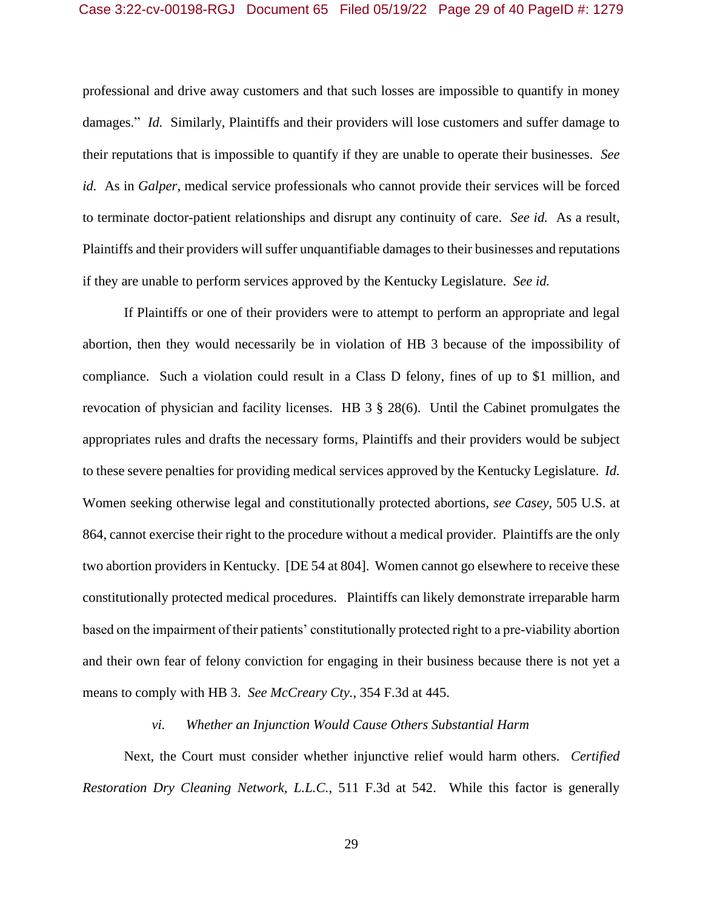### Case 3:22-cv-00198-RGJ Document 65 Filed 05/19/22 Page 29 of 40 PageID #: 1279

professional and drive away customers and that such losses are impossible to quantify in money damages." *Id.* Similarly, Plaintiffs and their providers will lose customers and suffer damage to their reputations that is impossible to quantify if they are unable to operate their businesses. *See id.* As in *Galper*, medical service professionals who cannot provide their services will be forced to terminate doctor-patient relationships and disrupt any continuity of care. *See id.* As a result, Plaintiffs and their providers will suffer unquantifiable damages to their businesses and reputations if they are unable to perform services approved by the Kentucky Legislature. *See id.*

If Plaintiffs or one of their providers were to attempt to perform an appropriate and legal abortion, then they would necessarily be in violation of HB 3 because of the impossibility of compliance. Such a violation could result in a Class D felony, fines of up to \$1 million, and revocation of physician and facility licenses. HB 3 § 28(6). Until the Cabinet promulgates the appropriates rules and drafts the necessary forms, Plaintiffs and their providers would be subject to these severe penalties for providing medical services approved by the Kentucky Legislature. *Id.* Women seeking otherwise legal and constitutionally protected abortions, *see Casey*, 505 U.S. at 864, cannot exercise their right to the procedure without a medical provider. Plaintiffs are the only two abortion providers in Kentucky. [DE 54 at 804]. Women cannot go elsewhere to receive these constitutionally protected medical procedures. Plaintiffs can likely demonstrate irreparable harm based on the impairment of their patients' constitutionally protected right to a pre-viability abortion and their own fear of felony conviction for engaging in their business because there is not yet a means to comply with HB 3. *See McCreary Cty.*, 354 F.3d at 445.

#### *vi. Whether an Injunction Would Cause Others Substantial Harm*

Next, the Court must consider whether injunctive relief would harm others. *Certified Restoration Dry Cleaning Network, L.L.C.*, 511 F.3d at 542. While this factor is generally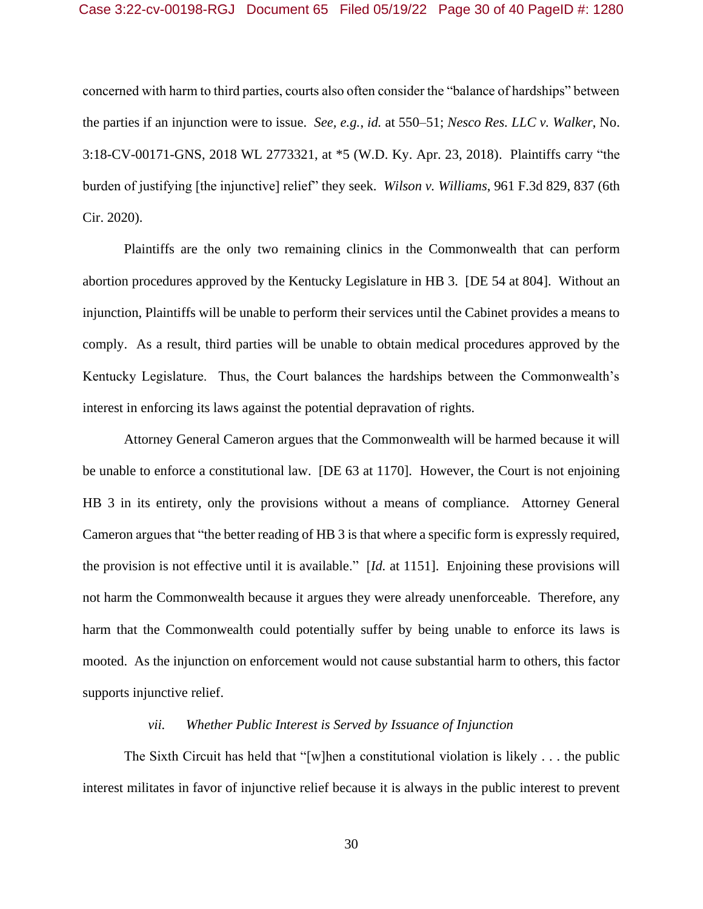concerned with harm to third parties, courts also often consider the "balance of hardships" between the parties if an injunction were to issue. *See, e.g.*, *id.* at 550–51; *Nesco Res. LLC v. Walker*, No. 3:18-CV-00171-GNS, 2018 WL 2773321, at \*5 (W.D. Ky. Apr. 23, 2018). Plaintiffs carry "the burden of justifying [the injunctive] relief" they seek. *Wilson v. Williams*, 961 F.3d 829, 837 (6th Cir. 2020).

Plaintiffs are the only two remaining clinics in the Commonwealth that can perform abortion procedures approved by the Kentucky Legislature in HB 3. [DE 54 at 804]. Without an injunction, Plaintiffs will be unable to perform their services until the Cabinet provides a means to comply. As a result, third parties will be unable to obtain medical procedures approved by the Kentucky Legislature. Thus, the Court balances the hardships between the Commonwealth's interest in enforcing its laws against the potential depravation of rights.

Attorney General Cameron argues that the Commonwealth will be harmed because it will be unable to enforce a constitutional law. [DE 63 at 1170]. However, the Court is not enjoining HB 3 in its entirety, only the provisions without a means of compliance. Attorney General Cameron argues that "the better reading of HB 3 is that where a specific form is expressly required, the provision is not effective until it is available." [*Id.* at 1151]. Enjoining these provisions will not harm the Commonwealth because it argues they were already unenforceable. Therefore, any harm that the Commonwealth could potentially suffer by being unable to enforce its laws is mooted. As the injunction on enforcement would not cause substantial harm to others, this factor supports injunctive relief.

### *vii. Whether Public Interest is Served by Issuance of Injunction*

The Sixth Circuit has held that "[w]hen a constitutional violation is likely . . . the public interest militates in favor of injunctive relief because it is always in the public interest to prevent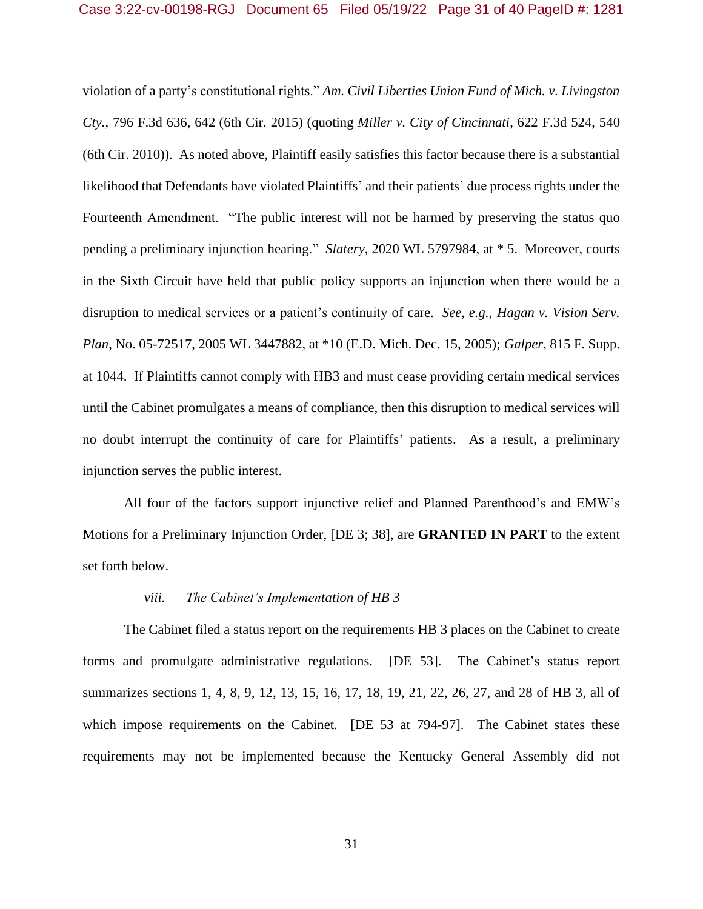violation of a party's constitutional rights." *Am. Civil Liberties Union Fund of Mich. v. Livingston Cty.*, 796 F.3d 636, 642 (6th Cir. 2015) (quoting *Miller v. City of Cincinnati*, 622 F.3d 524, 540 (6th Cir. 2010)). As noted above, Plaintiff easily satisfies this factor because there is a substantial likelihood that Defendants have violated Plaintiffs' and their patients' due process rights under the Fourteenth Amendment. "The public interest will not be harmed by preserving the status quo pending a preliminary injunction hearing." *Slatery*, 2020 WL 5797984, at \* 5. Moreover, courts in the Sixth Circuit have held that public policy supports an injunction when there would be a disruption to medical services or a patient's continuity of care. *See, e.g.*, *Hagan v. Vision Serv. Plan*, No. 05-72517, 2005 WL 3447882, at \*10 (E.D. Mich. Dec. 15, 2005); *Galper*, 815 F. Supp. at 1044. If Plaintiffs cannot comply with HB3 and must cease providing certain medical services until the Cabinet promulgates a means of compliance, then this disruption to medical services will no doubt interrupt the continuity of care for Plaintiffs' patients. As a result, a preliminary injunction serves the public interest.

All four of the factors support injunctive relief and Planned Parenthood's and EMW's Motions for a Preliminary Injunction Order, [DE 3; 38], are **GRANTED IN PART** to the extent set forth below.

### *viii. The Cabinet's Implementation of HB 3*

The Cabinet filed a status report on the requirements HB 3 places on the Cabinet to create forms and promulgate administrative regulations. [DE 53]. The Cabinet's status report summarizes sections 1, 4, 8, 9, 12, 13, 15, 16, 17, 18, 19, 21, 22, 26, 27, and 28 of HB 3, all of which impose requirements on the Cabinet. [DE 53 at 794-97]. The Cabinet states these requirements may not be implemented because the Kentucky General Assembly did not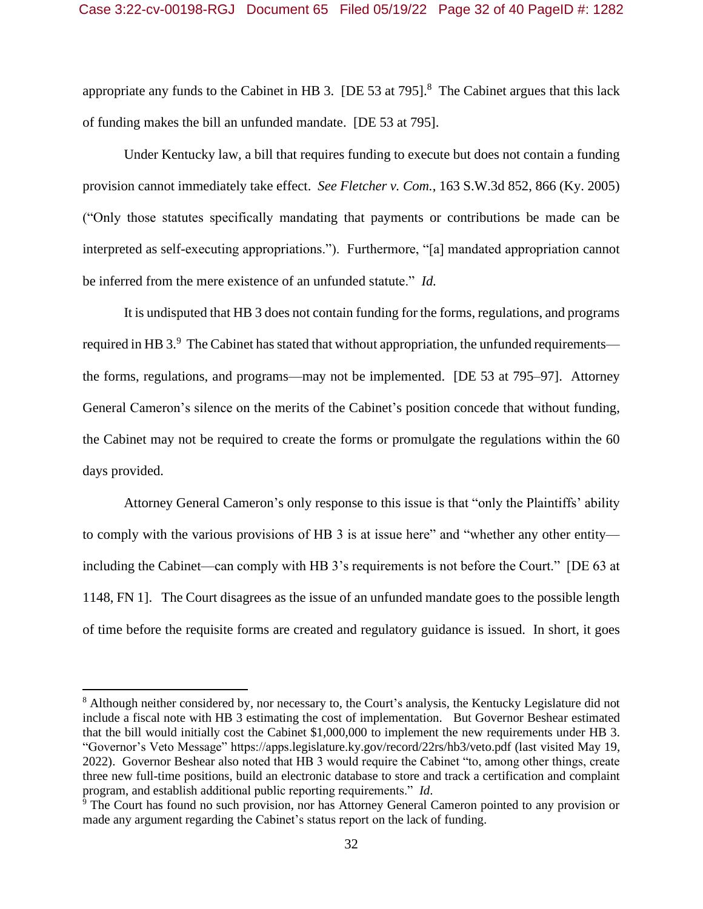appropriate any funds to the Cabinet in HB 3. [DE 53 at 795]. $8$  The Cabinet argues that this lack of funding makes the bill an unfunded mandate. [DE 53 at 795].

Under Kentucky law, a bill that requires funding to execute but does not contain a funding provision cannot immediately take effect. *See Fletcher v. Com.*, 163 S.W.3d 852, 866 (Ky. 2005) ("Only those statutes specifically mandating that payments or contributions be made can be interpreted as self-executing appropriations."). Furthermore, "[a] mandated appropriation cannot be inferred from the mere existence of an unfunded statute." *Id.*

It is undisputed that HB 3 does not contain funding for the forms, regulations, and programs required in HB 3. $9\degree$  The Cabinet has stated that without appropriation, the unfunded requirements the forms, regulations, and programs—may not be implemented. [DE 53 at 795–97]. Attorney General Cameron's silence on the merits of the Cabinet's position concede that without funding, the Cabinet may not be required to create the forms or promulgate the regulations within the 60 days provided.

Attorney General Cameron's only response to this issue is that "only the Plaintiffs' ability to comply with the various provisions of HB 3 is at issue here" and "whether any other entity including the Cabinet—can comply with HB 3's requirements is not before the Court." [DE 63 at 1148, FN 1]. The Court disagrees as the issue of an unfunded mandate goes to the possible length of time before the requisite forms are created and regulatory guidance is issued. In short, it goes

<sup>&</sup>lt;sup>8</sup> Although neither considered by, nor necessary to, the Court's analysis, the Kentucky Legislature did not include a fiscal note with HB 3 estimating the cost of implementation. But Governor Beshear estimated that the bill would initially cost the Cabinet \$1,000,000 to implement the new requirements under HB 3. "Governor's Veto Message" https://apps.legislature.ky.gov/record/22rs/hb3/veto.pdf (last visited May 19, 2022). Governor Beshear also noted that HB 3 would require the Cabinet "to, among other things, create three new full-time positions, build an electronic database to store and track a certification and complaint program, and establish additional public reporting requirements." *Id*.

<sup>9</sup> The Court has found no such provision, nor has Attorney General Cameron pointed to any provision or made any argument regarding the Cabinet's status report on the lack of funding.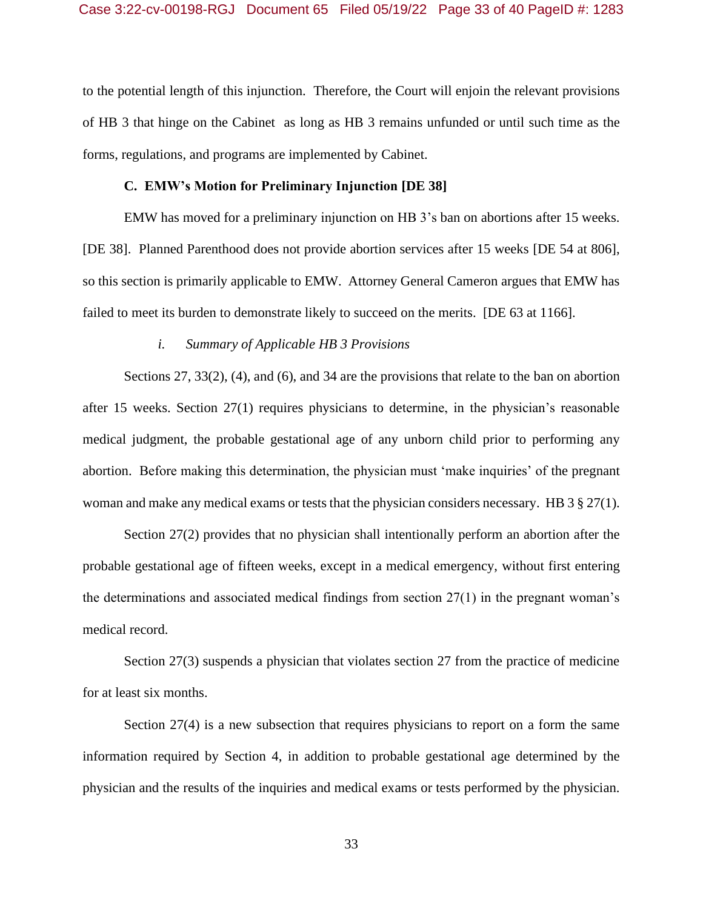to the potential length of this injunction. Therefore, the Court will enjoin the relevant provisions of HB 3 that hinge on the Cabinet as long as HB 3 remains unfunded or until such time as the forms, regulations, and programs are implemented by Cabinet.

### **C. EMW's Motion for Preliminary Injunction [DE 38]**

EMW has moved for a preliminary injunction on HB 3's ban on abortions after 15 weeks. [DE 38]. Planned Parenthood does not provide abortion services after 15 weeks [DE 54 at 806], so this section is primarily applicable to EMW. Attorney General Cameron argues that EMW has failed to meet its burden to demonstrate likely to succeed on the merits. [DE 63 at 1166].

### *i. Summary of Applicable HB 3 Provisions*

Sections 27, 33(2), (4), and (6), and 34 are the provisions that relate to the ban on abortion after 15 weeks. Section 27(1) requires physicians to determine, in the physician's reasonable medical judgment, the probable gestational age of any unborn child prior to performing any abortion. Before making this determination, the physician must 'make inquiries' of the pregnant woman and make any medical exams or tests that the physician considers necessary. HB 3 § 27(1).

Section 27(2) provides that no physician shall intentionally perform an abortion after the probable gestational age of fifteen weeks, except in a medical emergency, without first entering the determinations and associated medical findings from section 27(1) in the pregnant woman's medical record.

Section 27(3) suspends a physician that violates section 27 from the practice of medicine for at least six months.

Section 27(4) is a new subsection that requires physicians to report on a form the same information required by Section 4, in addition to probable gestational age determined by the physician and the results of the inquiries and medical exams or tests performed by the physician.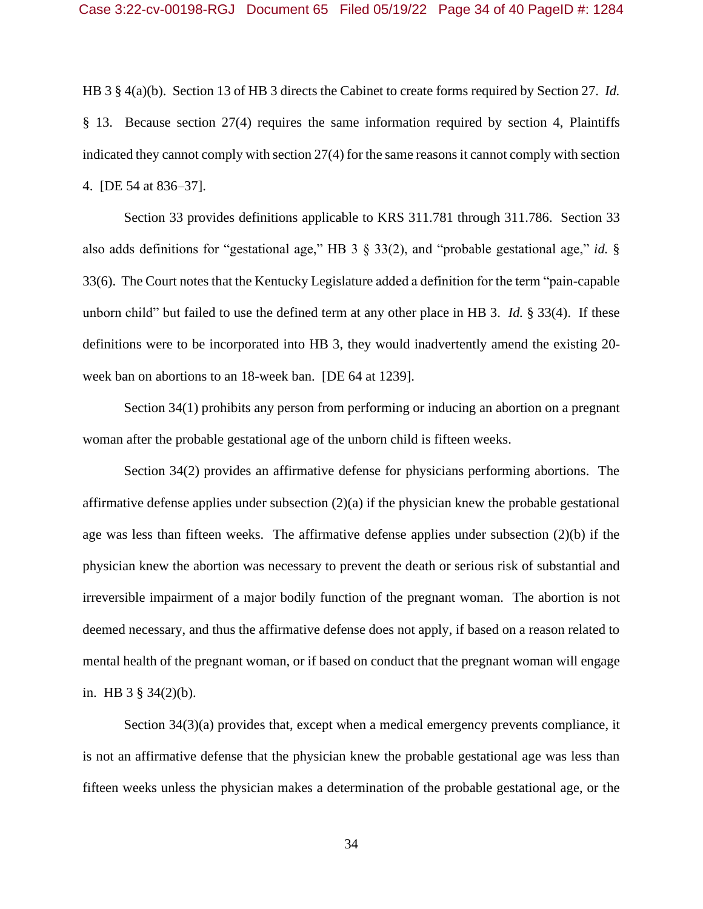HB 3 § 4(a)(b). Section 13 of HB 3 directs the Cabinet to create forms required by Section 27. *Id.* § 13. Because section 27(4) requires the same information required by section 4, Plaintiffs indicated they cannot comply with section 27(4) for the same reasons it cannot comply with section 4. [DE 54 at 836–37].

Section 33 provides definitions applicable to KRS 311.781 through 311.786. Section 33 also adds definitions for "gestational age," HB 3 § 33(2), and "probable gestational age," *id.* § 33(6). The Court notes that the Kentucky Legislature added a definition for the term "pain-capable unborn child" but failed to use the defined term at any other place in HB 3. *Id.* § 33(4). If these definitions were to be incorporated into HB 3, they would inadvertently amend the existing 20 week ban on abortions to an 18-week ban. [DE 64 at 1239].

Section 34(1) prohibits any person from performing or inducing an abortion on a pregnant woman after the probable gestational age of the unborn child is fifteen weeks.

Section 34(2) provides an affirmative defense for physicians performing abortions. The affirmative defense applies under subsection  $(2)(a)$  if the physician knew the probable gestational age was less than fifteen weeks. The affirmative defense applies under subsection (2)(b) if the physician knew the abortion was necessary to prevent the death or serious risk of substantial and irreversible impairment of a major bodily function of the pregnant woman. The abortion is not deemed necessary, and thus the affirmative defense does not apply, if based on a reason related to mental health of the pregnant woman, or if based on conduct that the pregnant woman will engage in. HB 3 § 34(2)(b).

Section 34(3)(a) provides that, except when a medical emergency prevents compliance, it is not an affirmative defense that the physician knew the probable gestational age was less than fifteen weeks unless the physician makes a determination of the probable gestational age, or the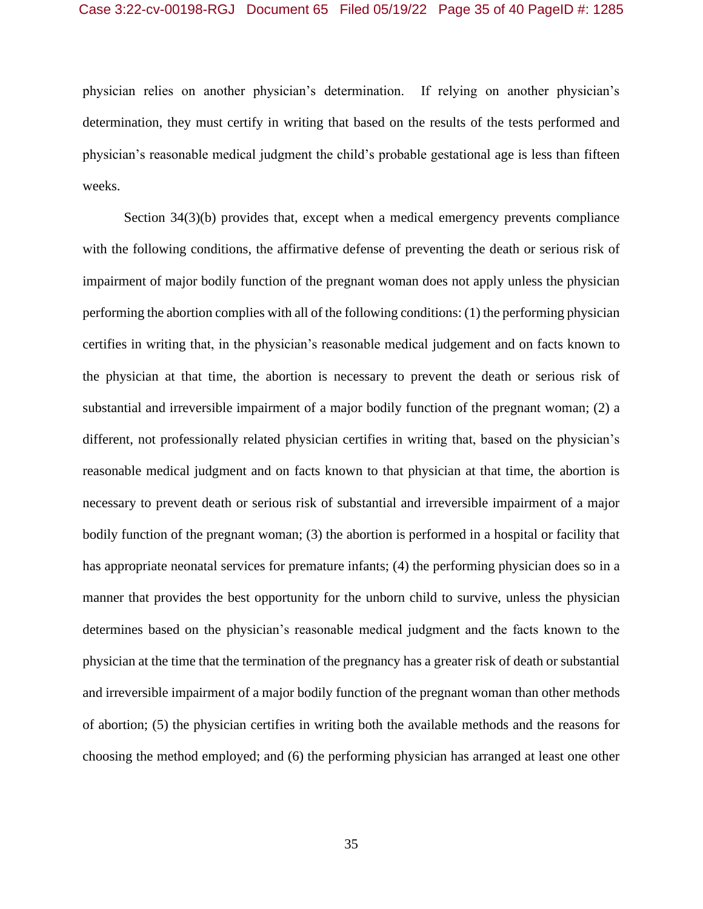physician relies on another physician's determination. If relying on another physician's determination, they must certify in writing that based on the results of the tests performed and physician's reasonable medical judgment the child's probable gestational age is less than fifteen weeks.

Section 34(3)(b) provides that, except when a medical emergency prevents compliance with the following conditions, the affirmative defense of preventing the death or serious risk of impairment of major bodily function of the pregnant woman does not apply unless the physician performing the abortion complies with all of the following conditions: (1) the performing physician certifies in writing that, in the physician's reasonable medical judgement and on facts known to the physician at that time, the abortion is necessary to prevent the death or serious risk of substantial and irreversible impairment of a major bodily function of the pregnant woman; (2) a different, not professionally related physician certifies in writing that, based on the physician's reasonable medical judgment and on facts known to that physician at that time, the abortion is necessary to prevent death or serious risk of substantial and irreversible impairment of a major bodily function of the pregnant woman; (3) the abortion is performed in a hospital or facility that has appropriate neonatal services for premature infants; (4) the performing physician does so in a manner that provides the best opportunity for the unborn child to survive, unless the physician determines based on the physician's reasonable medical judgment and the facts known to the physician at the time that the termination of the pregnancy has a greater risk of death or substantial and irreversible impairment of a major bodily function of the pregnant woman than other methods of abortion; (5) the physician certifies in writing both the available methods and the reasons for choosing the method employed; and (6) the performing physician has arranged at least one other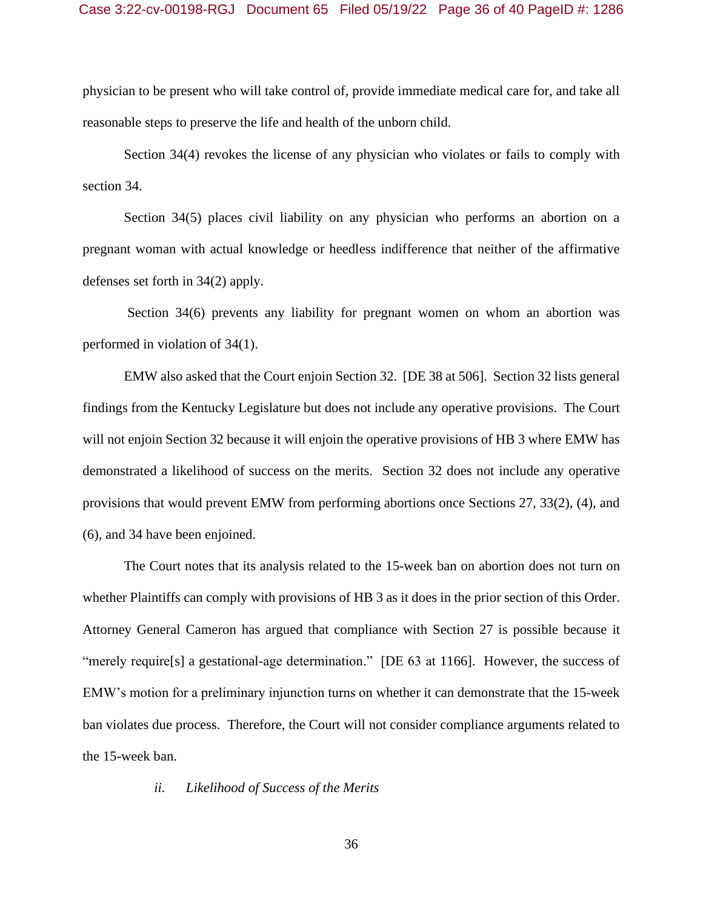### Case 3:22-cv-00198-RGJ Document 65 Filed 05/19/22 Page 36 of 40 PageID #: 1286

physician to be present who will take control of, provide immediate medical care for, and take all reasonable steps to preserve the life and health of the unborn child.

Section 34(4) revokes the license of any physician who violates or fails to comply with section 34.

Section 34(5) places civil liability on any physician who performs an abortion on a pregnant woman with actual knowledge or heedless indifference that neither of the affirmative defenses set forth in 34(2) apply.

Section 34(6) prevents any liability for pregnant women on whom an abortion was performed in violation of 34(1).

EMW also asked that the Court enjoin Section 32. [DE 38 at 506]. Section 32 lists general findings from the Kentucky Legislature but does not include any operative provisions. The Court will not enjoin Section 32 because it will enjoin the operative provisions of HB 3 where EMW has demonstrated a likelihood of success on the merits. Section 32 does not include any operative provisions that would prevent EMW from performing abortions once Sections 27, 33(2), (4), and (6), and 34 have been enjoined.

The Court notes that its analysis related to the 15-week ban on abortion does not turn on whether Plaintiffs can comply with provisions of HB 3 as it does in the prior section of this Order. Attorney General Cameron has argued that compliance with Section 27 is possible because it "merely require[s] a gestational-age determination." [DE 63 at 1166]. However, the success of EMW's motion for a preliminary injunction turns on whether it can demonstrate that the 15-week ban violates due process. Therefore, the Court will not consider compliance arguments related to the 15-week ban.

*ii. Likelihood of Success of the Merits*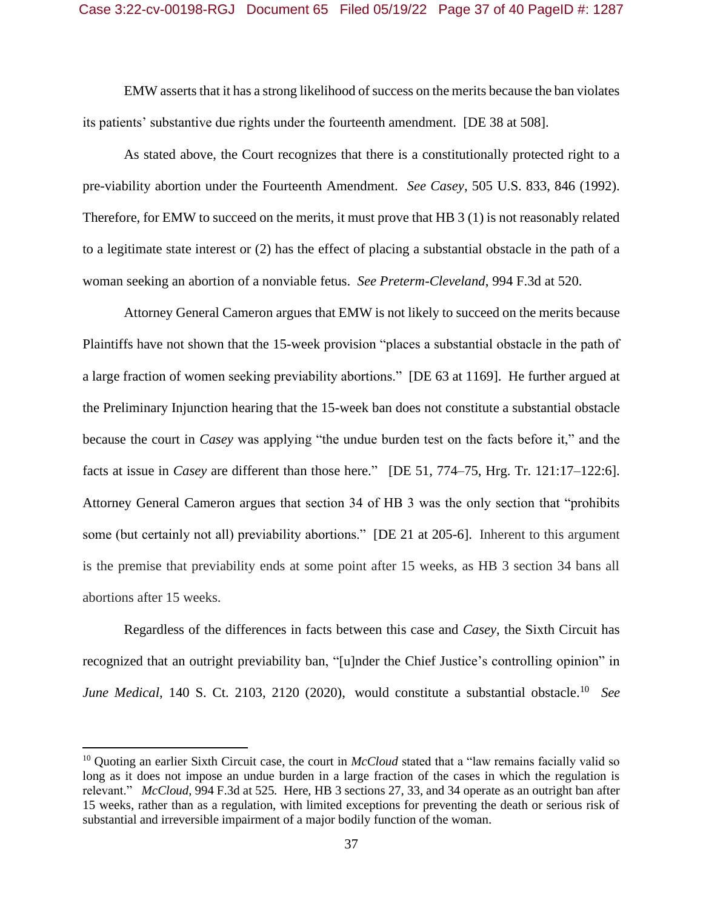### Case 3:22-cv-00198-RGJ Document 65 Filed 05/19/22 Page 37 of 40 PageID #: 1287

EMW asserts that it has a strong likelihood of success on the merits because the ban violates its patients' substantive due rights under the fourteenth amendment. [DE 38 at 508].

As stated above, the Court recognizes that there is a constitutionally protected right to a pre-viability abortion under the Fourteenth Amendment. *See Casey*, 505 U.S. 833, 846 (1992). Therefore, for EMW to succeed on the merits, it must prove that HB 3 (1) is not reasonably related to a legitimate state interest or (2) has the effect of placing a substantial obstacle in the path of a woman seeking an abortion of a nonviable fetus. *See Preterm-Cleveland*, 994 F.3d at 520.

Attorney General Cameron argues that EMW is not likely to succeed on the merits because Plaintiffs have not shown that the 15-week provision "places a substantial obstacle in the path of a large fraction of women seeking previability abortions." [DE 63 at 1169]. He further argued at the Preliminary Injunction hearing that the 15-week ban does not constitute a substantial obstacle because the court in *Casey* was applying "the undue burden test on the facts before it," and the facts at issue in *Casey* are different than those here." [DE 51, 774–75, Hrg. Tr. 121:17–122:6]. Attorney General Cameron argues that section 34 of HB 3 was the only section that "prohibits some (but certainly not all) previability abortions." [DE 21 at 205-6]. Inherent to this argument is the premise that previability ends at some point after 15 weeks, as HB 3 section 34 bans all abortions after 15 weeks.

Regardless of the differences in facts between this case and *Casey*, the Sixth Circuit has recognized that an outright previability ban, "[u]nder the Chief Justice's controlling opinion" in *June Medical*, 140 S. Ct. 2103, 2120 (2020), would constitute a substantial obstacle.<sup>10</sup> *See* 

<sup>&</sup>lt;sup>10</sup> Quoting an earlier Sixth Circuit case, the court in *McCloud* stated that a "law remains facially valid so long as it does not impose an undue burden in a large fraction of the cases in which the regulation is relevant." *McCloud*, 994 F.3d at 525*.* Here, HB 3 sections 27, 33, and 34 operate as an outright ban after 15 weeks, rather than as a regulation, with limited exceptions for preventing the death or serious risk of substantial and irreversible impairment of a major bodily function of the woman.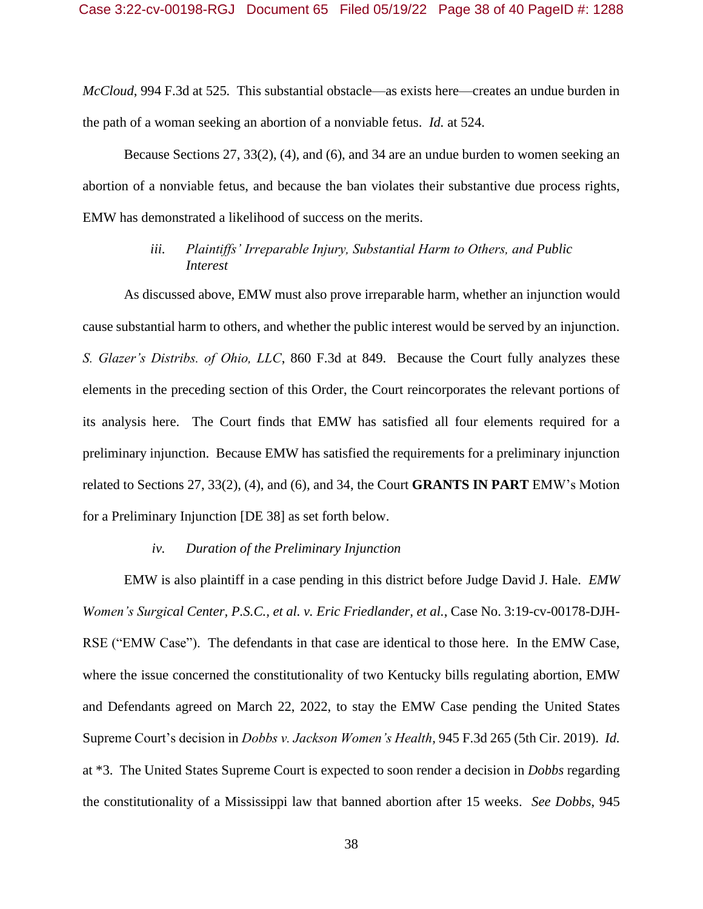*McCloud*, 994 F.3d at 525*.* This substantial obstacle—as exists here—creates an undue burden in the path of a woman seeking an abortion of a nonviable fetus. *Id.* at 524.

Because Sections 27, 33(2), (4), and (6), and 34 are an undue burden to women seeking an abortion of a nonviable fetus, and because the ban violates their substantive due process rights, EMW has demonstrated a likelihood of success on the merits.

## *iii. Plaintiffs' Irreparable Injury, Substantial Harm to Others, and Public Interest*

As discussed above, EMW must also prove irreparable harm, whether an injunction would cause substantial harm to others, and whether the public interest would be served by an injunction. *S. Glazer's Distribs. of Ohio, LLC*, 860 F.3d at 849. Because the Court fully analyzes these elements in the preceding section of this Order, the Court reincorporates the relevant portions of its analysis here. The Court finds that EMW has satisfied all four elements required for a preliminary injunction. Because EMW has satisfied the requirements for a preliminary injunction related to Sections 27, 33(2), (4), and (6), and 34, the Court **GRANTS IN PART** EMW's Motion for a Preliminary Injunction [DE 38] as set forth below.

### *iv. Duration of the Preliminary Injunction*

EMW is also plaintiff in a case pending in this district before Judge David J. Hale. *EMW Women's Surgical Center, P.S.C., et al. v. Eric Friedlander, et al.*, Case No. 3:19-cv-00178-DJH-RSE ("EMW Case"). The defendants in that case are identical to those here. In the EMW Case, where the issue concerned the constitutionality of two Kentucky bills regulating abortion, EMW and Defendants agreed on March 22, 2022, to stay the EMW Case pending the United States Supreme Court's decision in *Dobbs v. Jackson Women's Health,* 945 F.3d 265 (5th Cir. 2019). *Id.* at \*3. The United States Supreme Court is expected to soon render a decision in *Dobbs* regarding the constitutionality of a Mississippi law that banned abortion after 15 weeks. *See Dobbs*, 945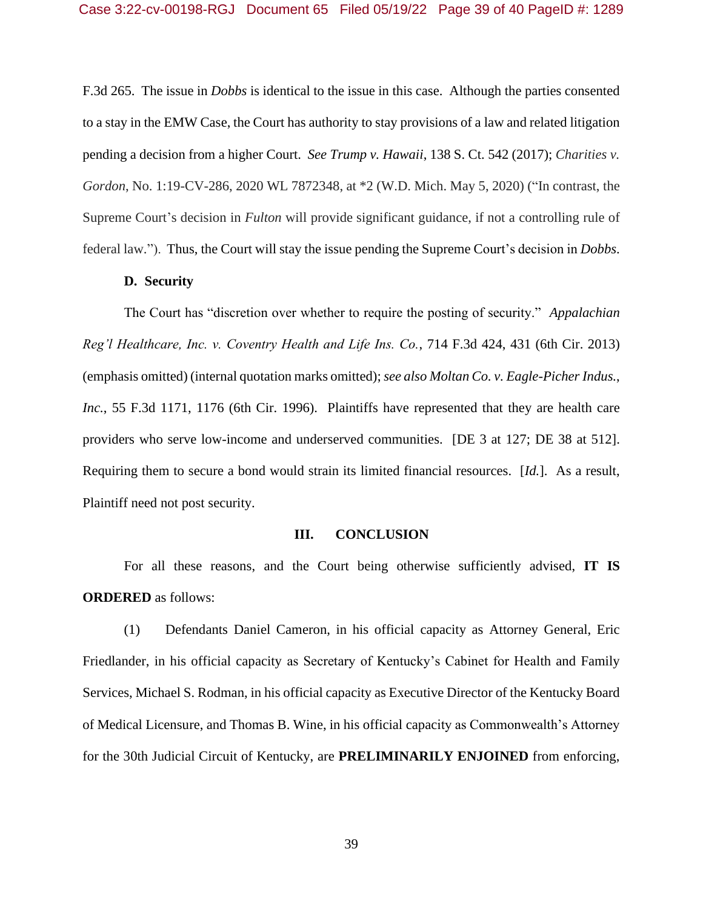F.3d 265. The issue in *Dobbs* is identical to the issue in this case. Although the parties consented to a stay in the EMW Case, the Court has authority to stay provisions of a law and related litigation pending a decision from a higher Court. *See Trump v. Hawaii*, 138 S. Ct. 542 (2017); *Charities v. Gordon*, No. 1:19-CV-286, 2020 WL 7872348, at \*2 (W.D. Mich. May 5, 2020) ("In contrast, the Supreme Court's decision in *Fulton* will provide significant guidance, if not a controlling rule of federal law."). Thus, the Court will stay the issue pending the Supreme Court's decision in *Dobbs*.

### **D. Security**

The Court has "discretion over whether to require the posting of security." *Appalachian Reg'l Healthcare, Inc. v. Coventry Health and Life Ins. Co.*, 714 F.3d 424, 431 (6th Cir. 2013) (emphasis omitted) (internal quotation marks omitted); *see also Moltan Co. v. Eagle-Picher Indus.*, *Inc.*, 55 F.3d 1171, 1176 (6th Cir. 1996). Plaintiffs have represented that they are health care providers who serve low-income and underserved communities. [DE 3 at 127; DE 38 at 512]. Requiring them to secure a bond would strain its limited financial resources. [*Id.*]. As a result, Plaintiff need not post security.

#### **III. CONCLUSION**

For all these reasons, and the Court being otherwise sufficiently advised, **IT IS ORDERED** as follows:

(1) Defendants Daniel Cameron, in his official capacity as Attorney General, Eric Friedlander, in his official capacity as Secretary of Kentucky's Cabinet for Health and Family Services, Michael S. Rodman, in his official capacity as Executive Director of the Kentucky Board of Medical Licensure, and Thomas B. Wine, in his official capacity as Commonwealth's Attorney for the 30th Judicial Circuit of Kentucky, are **PRELIMINARILY ENJOINED** from enforcing,